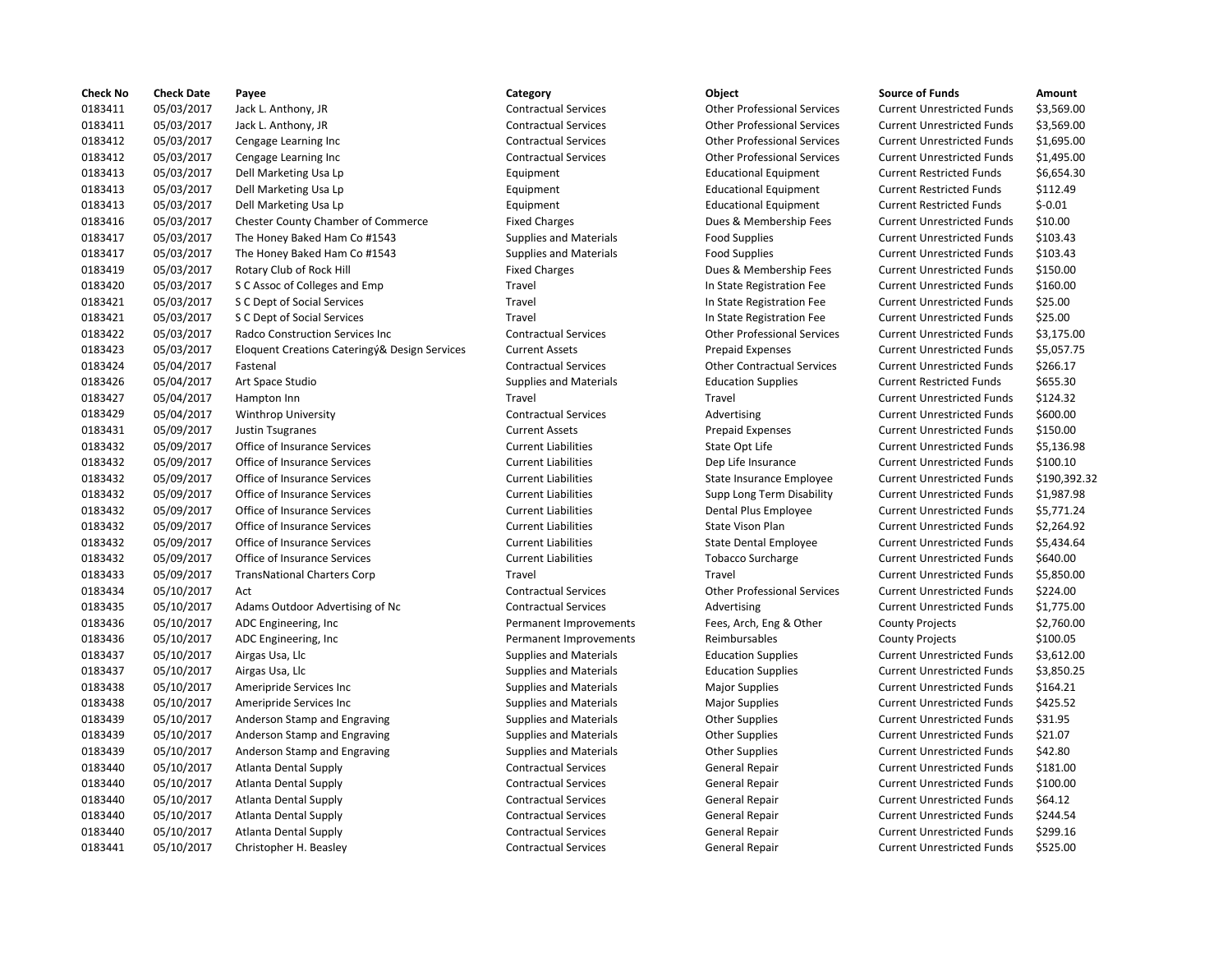| <b>Check No</b> | <b>Check Date</b> | Payee                                         | Category                      | Object                             | <b>Source of Funds</b>            | Amount    |
|-----------------|-------------------|-----------------------------------------------|-------------------------------|------------------------------------|-----------------------------------|-----------|
| 0183411         | 05/03/2017        | Jack L. Anthony, JR                           | <b>Contractual Services</b>   | <b>Other Professional Services</b> | <b>Current Unrestricted Funds</b> | \$3,569.0 |
| 0183411         | 05/03/2017        | Jack L. Anthony, JR                           | <b>Contractual Services</b>   | <b>Other Professional Services</b> | <b>Current Unrestricted Funds</b> | \$3,569.0 |
| 0183412         | 05/03/2017        | Cengage Learning Inc                          | <b>Contractual Services</b>   | <b>Other Professional Services</b> | <b>Current Unrestricted Funds</b> | \$1,695.0 |
| 0183412         | 05/03/2017        | Cengage Learning Inc                          | <b>Contractual Services</b>   | <b>Other Professional Services</b> | <b>Current Unrestricted Funds</b> | \$1,495.0 |
| 0183413         | 05/03/2017        | Dell Marketing Usa Lp                         | Equipment                     | <b>Educational Equipment</b>       | <b>Current Restricted Funds</b>   | \$6,654.3 |
| 0183413         | 05/03/2017        | Dell Marketing Usa Lp                         | Equipment                     | <b>Educational Equipment</b>       | <b>Current Restricted Funds</b>   | \$112.49  |
| 0183413         | 05/03/2017        | Dell Marketing Usa Lp                         | Equipment                     | <b>Educational Equipment</b>       | <b>Current Restricted Funds</b>   | $$-0.01$  |
| 0183416         | 05/03/2017        | <b>Chester County Chamber of Commerce</b>     | <b>Fixed Charges</b>          | Dues & Membership Fees             | <b>Current Unrestricted Funds</b> | \$10.00   |
| 0183417         | 05/03/2017        | The Honey Baked Ham Co #1543                  | <b>Supplies and Materials</b> | <b>Food Supplies</b>               | <b>Current Unrestricted Funds</b> | \$103.43  |
| 0183417         | 05/03/2017        | The Honey Baked Ham Co #1543                  | <b>Supplies and Materials</b> | <b>Food Supplies</b>               | <b>Current Unrestricted Funds</b> | \$103.43  |
| 0183419         | 05/03/2017        | Rotary Club of Rock Hill                      | <b>Fixed Charges</b>          | Dues & Membership Fees             | <b>Current Unrestricted Funds</b> | \$150.00  |
| 0183420         | 05/03/2017        | S C Assoc of Colleges and Emp                 | Travel                        | In State Registration Fee          | <b>Current Unrestricted Funds</b> | \$160.00  |
| 0183421         | 05/03/2017        | S C Dept of Social Services                   | Travel                        | In State Registration Fee          | <b>Current Unrestricted Funds</b> | \$25.00   |
| 0183421         | 05/03/2017        | S C Dept of Social Services                   | Travel                        | In State Registration Fee          | <b>Current Unrestricted Funds</b> | \$25.00   |
| 0183422         | 05/03/2017        | Radco Construction Services Inc               | <b>Contractual Services</b>   | <b>Other Professional Services</b> | <b>Current Unrestricted Funds</b> | \$3,175.0 |
| 0183423         | 05/03/2017        | Eloquent Creations Cateringy& Design Services | <b>Current Assets</b>         | <b>Prepaid Expenses</b>            | <b>Current Unrestricted Funds</b> | \$5,057.7 |
| 0183424         | 05/04/2017        | Fastenal                                      | <b>Contractual Services</b>   | <b>Other Contractual Services</b>  | <b>Current Unrestricted Funds</b> | \$266.17  |
| 0183426         | 05/04/2017        |                                               |                               |                                    | <b>Current Restricted Funds</b>   | \$655.30  |
|                 |                   | Art Space Studio                              | <b>Supplies and Materials</b> | <b>Education Supplies</b>          |                                   |           |
| 0183427         | 05/04/2017        | Hampton Inn                                   | Travel                        | Travel                             | <b>Current Unrestricted Funds</b> | \$124.32  |
| 0183429         | 05/04/2017        | Winthrop University                           | <b>Contractual Services</b>   | Advertising                        | <b>Current Unrestricted Funds</b> | \$600.00  |
| 0183431         | 05/09/2017        | Justin Tsugranes                              | <b>Current Assets</b>         | <b>Prepaid Expenses</b>            | <b>Current Unrestricted Funds</b> | \$150.00  |
| 0183432         | 05/09/2017        | Office of Insurance Services                  | <b>Current Liabilities</b>    | State Opt Life                     | <b>Current Unrestricted Funds</b> | \$5,136.9 |
| 0183432         | 05/09/2017        | Office of Insurance Services                  | <b>Current Liabilities</b>    | Dep Life Insurance                 | <b>Current Unrestricted Funds</b> | \$100.10  |
| 0183432         | 05/09/2017        | Office of Insurance Services                  | <b>Current Liabilities</b>    | State Insurance Employee           | <b>Current Unrestricted Funds</b> | \$190,39  |
| 0183432         | 05/09/2017        | Office of Insurance Services                  | <b>Current Liabilities</b>    | Supp Long Term Disability          | <b>Current Unrestricted Funds</b> | \$1,987.9 |
| 0183432         | 05/09/2017        | Office of Insurance Services                  | <b>Current Liabilities</b>    | Dental Plus Employee               | <b>Current Unrestricted Funds</b> | \$5,771.2 |
| 0183432         | 05/09/2017        | Office of Insurance Services                  | <b>Current Liabilities</b>    | State Vison Plan                   | <b>Current Unrestricted Funds</b> | \$2,264.9 |
| 0183432         | 05/09/2017        | Office of Insurance Services                  | <b>Current Liabilities</b>    | <b>State Dental Employee</b>       | <b>Current Unrestricted Funds</b> | \$5,434.6 |
| 0183432         | 05/09/2017        | Office of Insurance Services                  | <b>Current Liabilities</b>    | <b>Tobacco Surcharge</b>           | <b>Current Unrestricted Funds</b> | \$640.00  |
| 0183433         | 05/09/2017        | <b>TransNational Charters Corp</b>            | Travel                        | Travel                             | <b>Current Unrestricted Funds</b> | \$5,850.0 |
| 0183434         | 05/10/2017        | Act                                           | <b>Contractual Services</b>   | <b>Other Professional Services</b> | <b>Current Unrestricted Funds</b> | \$224.00  |
| 0183435         | 05/10/2017        | Adams Outdoor Advertising of Nc               | <b>Contractual Services</b>   | Advertising                        | <b>Current Unrestricted Funds</b> | \$1,775.0 |
| 0183436         | 05/10/2017        | ADC Engineering, Inc.                         | Permanent Improvements        | Fees, Arch, Eng & Other            | <b>County Projects</b>            | \$2,760.0 |
| 0183436         | 05/10/2017        | ADC Engineering, Inc.                         | Permanent Improvements        | Reimbursables                      | <b>County Projects</b>            | \$100.05  |
| 0183437         | 05/10/2017        | Airgas Usa, Llc                               | <b>Supplies and Materials</b> | <b>Education Supplies</b>          | <b>Current Unrestricted Funds</b> | \$3,612.0 |
| 0183437         | 05/10/2017        | Airgas Usa, Llc                               | Supplies and Materials        | <b>Education Supplies</b>          | <b>Current Unrestricted Funds</b> | \$3,850.2 |
| 0183438         | 05/10/2017        | Ameripride Services Inc                       | Supplies and Materials        | <b>Major Supplies</b>              | <b>Current Unrestricted Funds</b> | \$164.21  |
| 0183438         | 05/10/2017        | Ameripride Services Inc                       | <b>Supplies and Materials</b> | <b>Major Supplies</b>              | <b>Current Unrestricted Funds</b> | \$425.52  |
| 0183439         | 05/10/2017        | Anderson Stamp and Engraving                  | Supplies and Materials        | <b>Other Supplies</b>              | <b>Current Unrestricted Funds</b> | \$31.95   |
| 0183439         | 05/10/2017        | Anderson Stamp and Engraving                  | Supplies and Materials        | <b>Other Supplies</b>              | <b>Current Unrestricted Funds</b> | \$21.07   |
| 0183439         | 05/10/2017        | Anderson Stamp and Engraving                  | Supplies and Materials        | <b>Other Supplies</b>              | <b>Current Unrestricted Funds</b> | \$42.80   |
| 0183440         | 05/10/2017        | Atlanta Dental Supply                         | <b>Contractual Services</b>   | General Repair                     | <b>Current Unrestricted Funds</b> | \$181.00  |
| 0183440         | 05/10/2017        | <b>Atlanta Dental Supply</b>                  | <b>Contractual Services</b>   | General Repair                     | <b>Current Unrestricted Funds</b> | \$100.00  |
| 0183440         | 05/10/2017        | <b>Atlanta Dental Supply</b>                  | <b>Contractual Services</b>   | General Repair                     | <b>Current Unrestricted Funds</b> | \$64.12   |
| 0183440         | 05/10/2017        | Atlanta Dental Supply                         | <b>Contractual Services</b>   | General Repair                     | <b>Current Unrestricted Funds</b> | \$244.54  |
| 0183440         | 05/10/2017        | <b>Atlanta Dental Supply</b>                  | <b>Contractual Services</b>   | General Repair                     | <b>Current Unrestricted Funds</b> | \$299.16  |
| 0183441         | 05/10/2017        | Christopher H. Beasley                        | <b>Contractual Services</b>   | General Repair                     | <b>Current Unrestricted Funds</b> | \$525.00  |
|                 |                   |                                               |                               |                                    |                                   |           |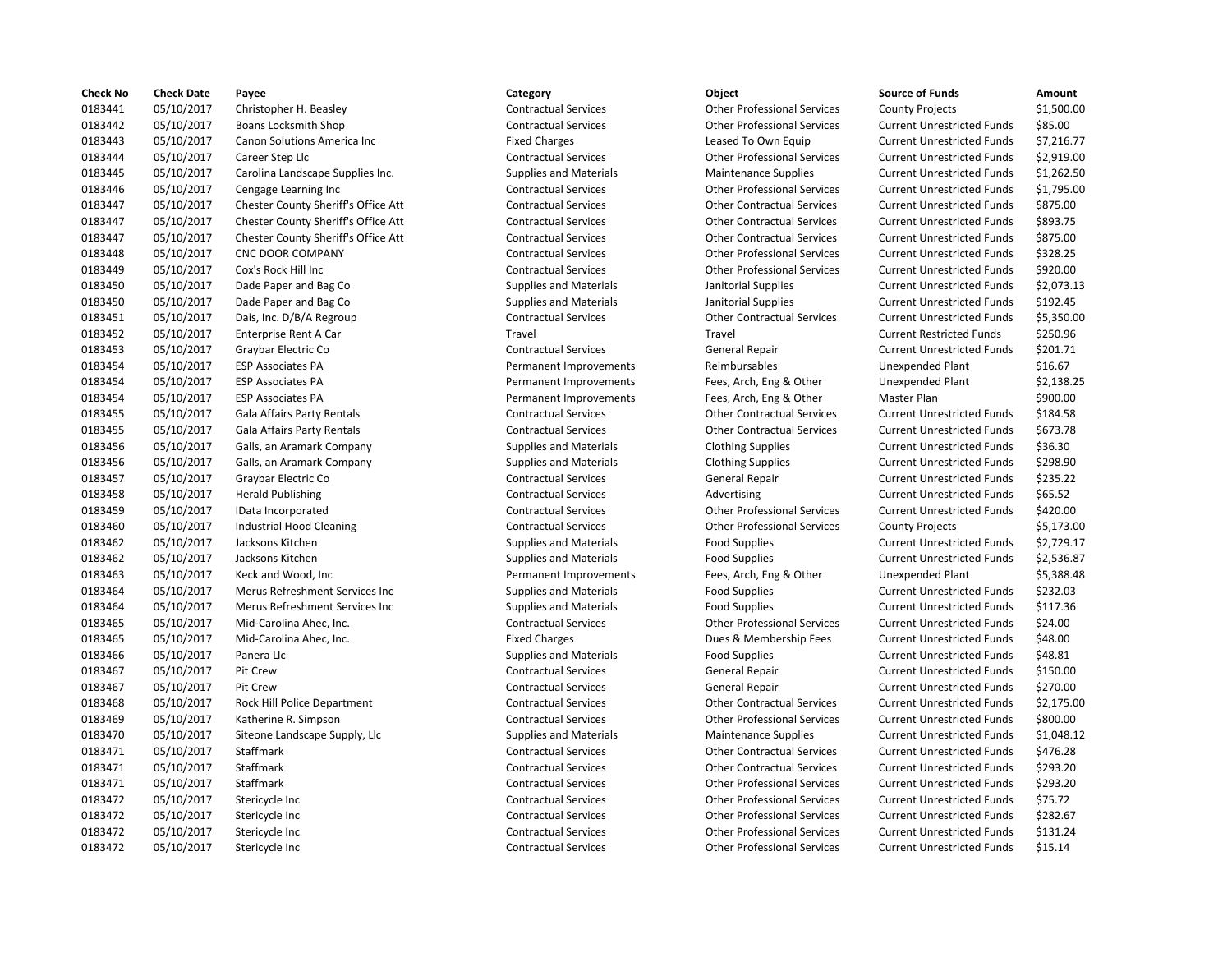| <b>Check No</b> | <b>Check Date</b> | Payee                               | Category                      | Object                             | <b>Source of Funds</b>            | Amount    |
|-----------------|-------------------|-------------------------------------|-------------------------------|------------------------------------|-----------------------------------|-----------|
| 0183441         | 05/10/2017        | Christopher H. Beasley              | <b>Contractual Services</b>   | <b>Other Professional Services</b> | <b>County Projects</b>            | \$1,500.0 |
| 0183442         | 05/10/2017        | <b>Boans Locksmith Shop</b>         | <b>Contractual Services</b>   | <b>Other Professional Services</b> | <b>Current Unrestricted Funds</b> | \$85.00   |
| 0183443         | 05/10/2017        | Canon Solutions America Inc         | <b>Fixed Charges</b>          | Leased To Own Equip                | <b>Current Unrestricted Funds</b> | \$7,216.7 |
| 0183444         | 05/10/2017        | Career Step Llc                     | <b>Contractual Services</b>   | <b>Other Professional Services</b> | <b>Current Unrestricted Funds</b> | \$2,919.0 |
| 0183445         | 05/10/2017        | Carolina Landscape Supplies Inc.    | <b>Supplies and Materials</b> | <b>Maintenance Supplies</b>        | <b>Current Unrestricted Funds</b> | \$1,262.5 |
| 0183446         | 05/10/2017        | Cengage Learning Inc                | <b>Contractual Services</b>   | <b>Other Professional Services</b> | <b>Current Unrestricted Funds</b> | \$1,795.0 |
| 0183447         | 05/10/2017        | Chester County Sheriff's Office Att | <b>Contractual Services</b>   | <b>Other Contractual Services</b>  | <b>Current Unrestricted Funds</b> | \$875.00  |
| 0183447         | 05/10/2017        | Chester County Sheriff's Office Att | <b>Contractual Services</b>   | <b>Other Contractual Services</b>  | <b>Current Unrestricted Funds</b> | \$893.75  |
| 0183447         | 05/10/2017        | Chester County Sheriff's Office Att | <b>Contractual Services</b>   | <b>Other Contractual Services</b>  | <b>Current Unrestricted Funds</b> | \$875.00  |
| 0183448         | 05/10/2017        | <b>CNC DOOR COMPANY</b>             | <b>Contractual Services</b>   | <b>Other Professional Services</b> | <b>Current Unrestricted Funds</b> | \$328.25  |
| 0183449         | 05/10/2017        | Cox's Rock Hill Inc                 | <b>Contractual Services</b>   | <b>Other Professional Services</b> | <b>Current Unrestricted Funds</b> | \$920.00  |
| 0183450         | 05/10/2017        | Dade Paper and Bag Co               | <b>Supplies and Materials</b> | Janitorial Supplies                | <b>Current Unrestricted Funds</b> | \$2,073.1 |
| 0183450         | 05/10/2017        | Dade Paper and Bag Co               | <b>Supplies and Materials</b> | Janitorial Supplies                | <b>Current Unrestricted Funds</b> | \$192.45  |
| 0183451         | 05/10/2017        | Dais, Inc. D/B/A Regroup            | <b>Contractual Services</b>   | <b>Other Contractual Services</b>  | <b>Current Unrestricted Funds</b> | \$5,350.0 |
| 0183452         | 05/10/2017        | Enterprise Rent A Car               | Travel                        | Travel                             | <b>Current Restricted Funds</b>   | \$250.96  |
| 0183453         | 05/10/2017        | Graybar Electric Co                 | <b>Contractual Services</b>   | General Repair                     | <b>Current Unrestricted Funds</b> | \$201.71  |
| 0183454         | 05/10/2017        | <b>ESP Associates PA</b>            | Permanent Improvements        | Reimbursables                      | <b>Unexpended Plant</b>           | \$16.67   |
| 0183454         | 05/10/2017        | <b>ESP Associates PA</b>            | Permanent Improvements        | Fees, Arch, Eng & Other            | <b>Unexpended Plant</b>           | \$2,138.2 |
| 0183454         | 05/10/2017        | <b>ESP Associates PA</b>            | Permanent Improvements        | Fees, Arch, Eng & Other            | Master Plan                       | \$900.00  |
| 0183455         | 05/10/2017        | Gala Affairs Party Rentals          | <b>Contractual Services</b>   | <b>Other Contractual Services</b>  | <b>Current Unrestricted Funds</b> | \$184.58  |
| 0183455         | 05/10/2017        | Gala Affairs Party Rentals          | <b>Contractual Services</b>   | <b>Other Contractual Services</b>  | <b>Current Unrestricted Funds</b> | \$673.78  |
| 0183456         |                   |                                     |                               |                                    | <b>Current Unrestricted Funds</b> | \$36.30   |
|                 | 05/10/2017        | Galls, an Aramark Company           | <b>Supplies and Materials</b> | <b>Clothing Supplies</b>           |                                   | \$298.90  |
| 0183456         | 05/10/2017        | Galls, an Aramark Company           | <b>Supplies and Materials</b> | <b>Clothing Supplies</b>           | <b>Current Unrestricted Funds</b> |           |
| 0183457         | 05/10/2017        | Graybar Electric Co                 | <b>Contractual Services</b>   | General Repair                     | <b>Current Unrestricted Funds</b> | \$235.22  |
| 0183458         | 05/10/2017        | <b>Herald Publishing</b>            | <b>Contractual Services</b>   | Advertising                        | <b>Current Unrestricted Funds</b> | \$65.52   |
| 0183459         | 05/10/2017        | IData Incorporated                  | <b>Contractual Services</b>   | <b>Other Professional Services</b> | <b>Current Unrestricted Funds</b> | \$420.00  |
| 0183460         | 05/10/2017        | Industrial Hood Cleaning            | <b>Contractual Services</b>   | <b>Other Professional Services</b> | <b>County Projects</b>            | \$5,173.0 |
| 0183462         | 05/10/2017        | Jacksons Kitchen                    | <b>Supplies and Materials</b> | <b>Food Supplies</b>               | <b>Current Unrestricted Funds</b> | \$2,729.1 |
| 0183462         | 05/10/2017        | Jacksons Kitchen                    | <b>Supplies and Materials</b> | <b>Food Supplies</b>               | <b>Current Unrestricted Funds</b> | \$2,536.8 |
| 0183463         | 05/10/2017        | Keck and Wood, Inc                  | Permanent Improvements        | Fees, Arch, Eng & Other            | Unexpended Plant                  | \$5,388.4 |
| 0183464         | 05/10/2017        | Merus Refreshment Services Inc      | <b>Supplies and Materials</b> | <b>Food Supplies</b>               | <b>Current Unrestricted Funds</b> | \$232.03  |
| 0183464         | 05/10/2017        | Merus Refreshment Services Inc      | <b>Supplies and Materials</b> | <b>Food Supplies</b>               | <b>Current Unrestricted Funds</b> | \$117.36  |
| 0183465         | 05/10/2017        | Mid-Carolina Ahec, Inc.             | <b>Contractual Services</b>   | <b>Other Professional Services</b> | <b>Current Unrestricted Funds</b> | \$24.00   |
| 0183465         | 05/10/2017        | Mid-Carolina Ahec, Inc.             | <b>Fixed Charges</b>          | Dues & Membership Fees             | <b>Current Unrestricted Funds</b> | \$48.00   |
| 0183466         | 05/10/2017        | Panera Llc                          | <b>Supplies and Materials</b> | <b>Food Supplies</b>               | <b>Current Unrestricted Funds</b> | \$48.81   |
| 0183467         | 05/10/2017        | Pit Crew                            | <b>Contractual Services</b>   | General Repair                     | <b>Current Unrestricted Funds</b> | \$150.00  |
| 0183467         | 05/10/2017        | Pit Crew                            | <b>Contractual Services</b>   | General Repair                     | <b>Current Unrestricted Funds</b> | \$270.00  |
| 0183468         | 05/10/2017        | Rock Hill Police Department         | <b>Contractual Services</b>   | <b>Other Contractual Services</b>  | <b>Current Unrestricted Funds</b> | \$2,175.0 |
| 0183469         | 05/10/2017        | Katherine R. Simpson                | <b>Contractual Services</b>   | <b>Other Professional Services</b> | <b>Current Unrestricted Funds</b> | \$800.00  |
| 0183470         | 05/10/2017        | Siteone Landscape Supply, Llc       | <b>Supplies and Materials</b> | <b>Maintenance Supplies</b>        | <b>Current Unrestricted Funds</b> | \$1,048.1 |
| 0183471         | 05/10/2017        | Staffmark                           | <b>Contractual Services</b>   | <b>Other Contractual Services</b>  | <b>Current Unrestricted Funds</b> | \$476.28  |
| 0183471         | 05/10/2017        | Staffmark                           | <b>Contractual Services</b>   | <b>Other Contractual Services</b>  | <b>Current Unrestricted Funds</b> | \$293.20  |
| 0183471         | 05/10/2017        | Staffmark                           | <b>Contractual Services</b>   | <b>Other Professional Services</b> | <b>Current Unrestricted Funds</b> | \$293.20  |
| 0183472         | 05/10/2017        | Stericycle Inc                      | <b>Contractual Services</b>   | <b>Other Professional Services</b> | <b>Current Unrestricted Funds</b> | \$75.72   |
| 0183472         | 05/10/2017        | Stericycle Inc                      | <b>Contractual Services</b>   | <b>Other Professional Services</b> | <b>Current Unrestricted Funds</b> | \$282.67  |
| 0183472         | 05/10/2017        | Stericycle Inc                      | <b>Contractual Services</b>   | <b>Other Professional Services</b> | <b>Current Unrestricted Funds</b> | \$131.24  |
| 0183472         | 05/10/2017        | Stericycle Inc                      | <b>Contractual Services</b>   | <b>Other Professional Services</b> | <b>Current Unrestricted Funds</b> | \$15.14   |
|                 |                   |                                     |                               |                                    |                                   |           |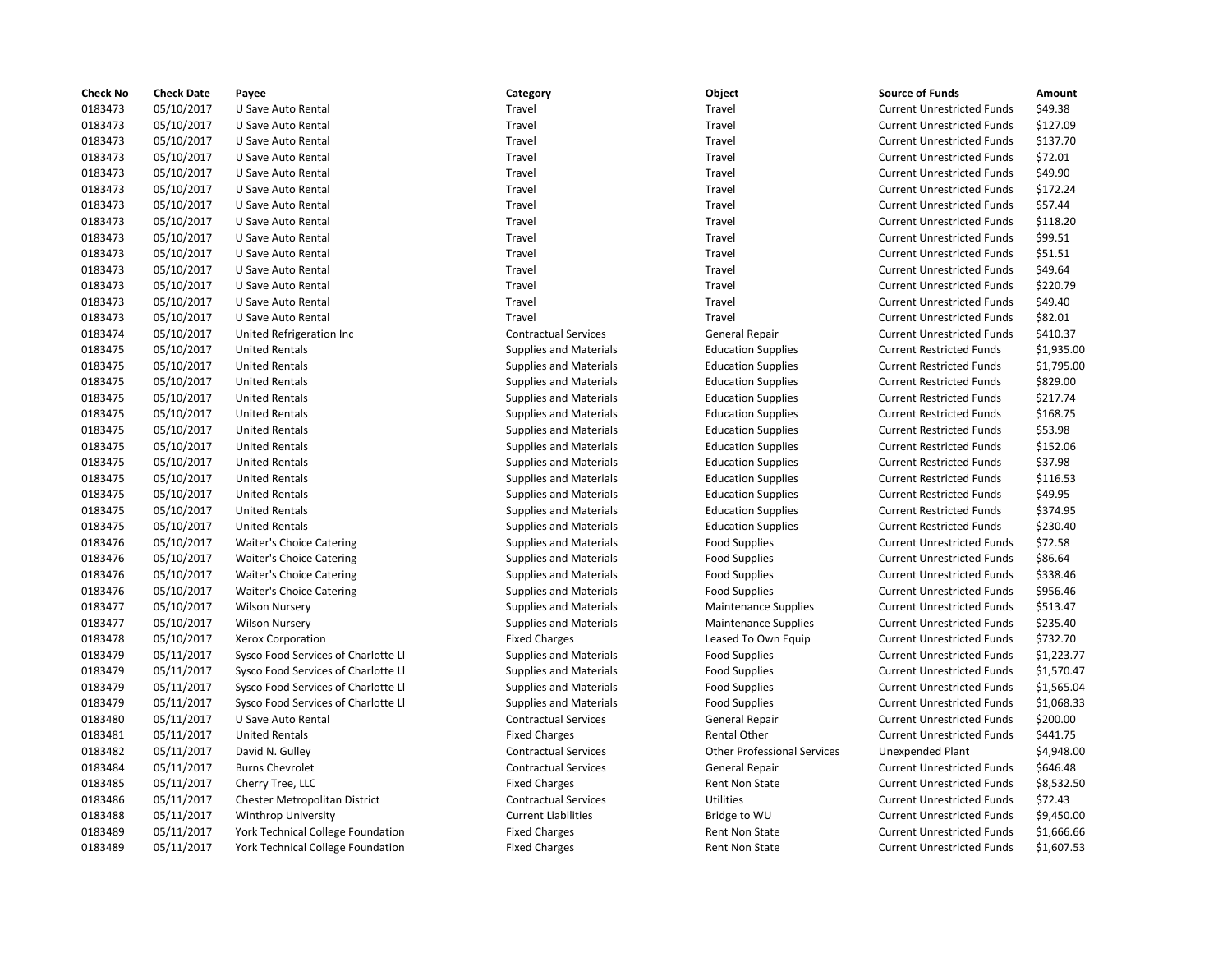| <b>Check No</b>    | <b>Check Date</b> | Payee                                          | Category                      | Object                                                     | <b>Source of Funds</b>            | Amount     |
|--------------------|-------------------|------------------------------------------------|-------------------------------|------------------------------------------------------------|-----------------------------------|------------|
| 0183473            | 05/10/2017        | U Save Auto Rental                             | Travel                        | Travel                                                     | <b>Current Unrestricted Funds</b> | \$49.38    |
| 0183473            | 05/10/2017        | U Save Auto Rental                             | Travel                        | Travel                                                     | <b>Current Unrestricted Funds</b> | \$127.09   |
| 0183473            | 05/10/2017        | U Save Auto Rental                             | Travel                        | Travel                                                     | <b>Current Unrestricted Funds</b> | \$137.70   |
| 0183473            | 05/10/2017        | U Save Auto Rental                             | Travel                        | Travel                                                     | <b>Current Unrestricted Funds</b> | \$72.01    |
| 0183473            | 05/10/2017        | U Save Auto Rental                             | Travel                        | Travel                                                     | <b>Current Unrestricted Funds</b> | \$49.90    |
| 0183473            | 05/10/2017        | U Save Auto Rental                             | Travel                        | Travel                                                     | <b>Current Unrestricted Funds</b> | \$172.24   |
| 0183473            | 05/10/2017        | U Save Auto Rental                             | Travel                        | Travel                                                     | <b>Current Unrestricted Funds</b> | \$57.44    |
| 0183473            | 05/10/2017        | U Save Auto Rental                             | Travel                        | Travel                                                     | <b>Current Unrestricted Funds</b> | \$118.20   |
| 0183473            | 05/10/2017        | U Save Auto Rental                             | Travel                        | Travel                                                     | <b>Current Unrestricted Funds</b> | \$99.51    |
| 0183473            | 05/10/2017        | U Save Auto Rental                             | Travel                        | Travel                                                     | <b>Current Unrestricted Funds</b> | \$51.51    |
| 0183473            | 05/10/2017        | U Save Auto Rental                             | Travel                        | Travel                                                     | <b>Current Unrestricted Funds</b> | \$49.64    |
| 0183473            | 05/10/2017        | U Save Auto Rental                             | Travel                        | Travel                                                     | <b>Current Unrestricted Funds</b> | \$220.79   |
| 0183473            | 05/10/2017        | U Save Auto Rental                             | Travel                        | Travel                                                     | <b>Current Unrestricted Funds</b> | \$49.40    |
| 0183473            | 05/10/2017        | U Save Auto Rental                             | Travel                        | Travel                                                     | <b>Current Unrestricted Funds</b> | \$82.01    |
| 0183474            | 05/10/2017        | United Refrigeration Inc                       | <b>Contractual Services</b>   | General Repair                                             | <b>Current Unrestricted Funds</b> | \$410.37   |
| 0183475            | 05/10/2017        | <b>United Rentals</b>                          | <b>Supplies and Materials</b> | <b>Education Supplies</b>                                  | <b>Current Restricted Funds</b>   | \$1,935.00 |
| 0183475            | 05/10/2017        | <b>United Rentals</b>                          | <b>Supplies and Materials</b> | <b>Education Supplies</b>                                  | <b>Current Restricted Funds</b>   | \$1,795.00 |
| 0183475            | 05/10/2017        | <b>United Rentals</b>                          | <b>Supplies and Materials</b> | <b>Education Supplies</b>                                  | <b>Current Restricted Funds</b>   | \$829.00   |
| 0183475            | 05/10/2017        | <b>United Rentals</b>                          | <b>Supplies and Materials</b> | <b>Education Supplies</b>                                  | <b>Current Restricted Funds</b>   | \$217.74   |
| 0183475            | 05/10/2017        | <b>United Rentals</b>                          | <b>Supplies and Materials</b> | <b>Education Supplies</b>                                  | <b>Current Restricted Funds</b>   | \$168.75   |
| 0183475            | 05/10/2017        | <b>United Rentals</b>                          | <b>Supplies and Materials</b> | <b>Education Supplies</b>                                  | <b>Current Restricted Funds</b>   | \$53.98    |
| 0183475            | 05/10/2017        | <b>United Rentals</b>                          | <b>Supplies and Materials</b> | <b>Education Supplies</b>                                  | <b>Current Restricted Funds</b>   | \$152.06   |
| 0183475            | 05/10/2017        | <b>United Rentals</b>                          | Supplies and Materials        | <b>Education Supplies</b>                                  | <b>Current Restricted Funds</b>   | \$37.98    |
| 0183475            | 05/10/2017        | <b>United Rentals</b>                          | <b>Supplies and Materials</b> | <b>Education Supplies</b>                                  | <b>Current Restricted Funds</b>   | \$116.53   |
| 0183475            | 05/10/2017        | <b>United Rentals</b>                          | <b>Supplies and Materials</b> | <b>Education Supplies</b>                                  | <b>Current Restricted Funds</b>   | \$49.95    |
| 0183475            | 05/10/2017        | <b>United Rentals</b>                          | <b>Supplies and Materials</b> | <b>Education Supplies</b>                                  | <b>Current Restricted Funds</b>   | \$374.95   |
| 0183475            | 05/10/2017        | <b>United Rentals</b>                          | <b>Supplies and Materials</b> | <b>Education Supplies</b>                                  | <b>Current Restricted Funds</b>   | \$230.40   |
| 0183476            | 05/10/2017        | <b>Waiter's Choice Catering</b>                | <b>Supplies and Materials</b> | <b>Food Supplies</b>                                       | <b>Current Unrestricted Funds</b> | \$72.58    |
| 0183476            | 05/10/2017        | <b>Waiter's Choice Catering</b>                | <b>Supplies and Materials</b> | <b>Food Supplies</b>                                       | <b>Current Unrestricted Funds</b> | \$86.64    |
| 0183476            | 05/10/2017        | <b>Waiter's Choice Catering</b>                | <b>Supplies and Materials</b> | <b>Food Supplies</b>                                       | <b>Current Unrestricted Funds</b> | \$338.46   |
| 0183476            | 05/10/2017        | <b>Waiter's Choice Catering</b>                | <b>Supplies and Materials</b> | <b>Food Supplies</b>                                       | <b>Current Unrestricted Funds</b> | \$956.46   |
| 0183477            | 05/10/2017        |                                                | <b>Supplies and Materials</b> |                                                            | <b>Current Unrestricted Funds</b> | \$513.47   |
| 0183477            | 05/10/2017        | <b>Wilson Nursery</b><br><b>Wilson Nursery</b> | <b>Supplies and Materials</b> | <b>Maintenance Supplies</b><br><b>Maintenance Supplies</b> | <b>Current Unrestricted Funds</b> | \$235.40   |
|                    |                   |                                                |                               |                                                            | <b>Current Unrestricted Funds</b> | \$732.70   |
| 0183478<br>0183479 | 05/10/2017        | Xerox Corporation                              | <b>Fixed Charges</b>          | Leased To Own Equip                                        |                                   |            |
|                    | 05/11/2017        | Sysco Food Services of Charlotte Ll            | Supplies and Materials        | <b>Food Supplies</b>                                       | <b>Current Unrestricted Funds</b> | \$1,223.77 |
| 0183479            | 05/11/2017        | Sysco Food Services of Charlotte Ll            | <b>Supplies and Materials</b> | <b>Food Supplies</b>                                       | <b>Current Unrestricted Funds</b> | \$1,570.47 |
| 0183479            | 05/11/2017        | Sysco Food Services of Charlotte Ll            | <b>Supplies and Materials</b> | <b>Food Supplies</b>                                       | <b>Current Unrestricted Funds</b> | \$1,565.04 |
| 0183479            | 05/11/2017        | Sysco Food Services of Charlotte Ll            | <b>Supplies and Materials</b> | <b>Food Supplies</b>                                       | <b>Current Unrestricted Funds</b> | \$1,068.33 |
| 0183480            | 05/11/2017        | U Save Auto Rental                             | <b>Contractual Services</b>   | General Repair                                             | <b>Current Unrestricted Funds</b> | \$200.00   |
| 0183481            | 05/11/2017        | <b>United Rentals</b>                          | <b>Fixed Charges</b>          | Rental Other                                               | <b>Current Unrestricted Funds</b> | \$441.75   |
| 0183482            | 05/11/2017        | David N. Gulley                                | <b>Contractual Services</b>   | <b>Other Professional Services</b>                         | Unexpended Plant                  | \$4,948.00 |
| 0183484            | 05/11/2017        | <b>Burns Chevrolet</b>                         | <b>Contractual Services</b>   | <b>General Repair</b>                                      | <b>Current Unrestricted Funds</b> | \$646.48   |
| 0183485            | 05/11/2017        | Cherry Tree, LLC                               | <b>Fixed Charges</b>          | Rent Non State                                             | <b>Current Unrestricted Funds</b> | \$8,532.50 |
| 0183486            | 05/11/2017        | Chester Metropolitan District                  | <b>Contractual Services</b>   | <b>Utilities</b>                                           | <b>Current Unrestricted Funds</b> | \$72.43    |
| 0183488            | 05/11/2017        | <b>Winthrop University</b>                     | <b>Current Liabilities</b>    | Bridge to WU                                               | <b>Current Unrestricted Funds</b> | \$9,450.00 |
| 0183489            | 05/11/2017        | York Technical College Foundation              | <b>Fixed Charges</b>          | Rent Non State                                             | <b>Current Unrestricted Funds</b> | \$1,666.66 |
| 0183489            | 05/11/2017        | <b>York Technical College Foundation</b>       | <b>Fixed Charges</b>          | <b>Rent Non State</b>                                      | <b>Current Unrestricted Funds</b> | \$1,607.53 |

# 0183473 05/10/2017 U Save Auto Rental Travel Travel Current Unrestricted Funds \$49.38 Travel **127.09** Travel Travel Current Unrestricted Funds \$127.09 Travel **12347 12347 12347 12347 12347 12347 12347 12347 12347 12347 12347 12347 12347 12347 12347 12347 12347 12347** Travel **12347 012347 012347 12347 12347 12347 12347 12347 12347 12347 12347 12347 12347 12347 12347 12347 12347 12347 12347 12347 12347 12347 12347 12347 12347 12347 12347 12347 12347 12347 12347 12347 12347 12347 12347 12** Travel **Travel Travel Current Unrestricted Funds** \$49.90 Travel **12347 12347 12347 12347 12347 12347 12347 12347 12347 12347 12347 12347 12347 12347 12347 12347 12347 12347 12347 12347 12347 12347 12347 12347 12347 12347 12347 12347 12347 12347 12347 12347 12347 12347 12347 1234** Travel **12347** Travel Travel Current Unrestricted Funds 557.44 Travel **Travel Travel Travel Current Unrestricted Funds** \$118.20 Travel **12347 12347 12347 12347 12347 12347 12347 12347 12347 12347 12347 12347 12347 12347 12347 12347 12347 12347 12347 12347 12347 12347 12347 12347 12347 12347 12347 12347 12347 12347 12347 12347 12347 12347 12347 1234** Travel **12347 012347 121847 Unrestricted Funds** 551.51 Travel **12347 0123 12347 U Save Auto Rental Travel Current Unrestricted Funds 549.64** Travel **12347** 12347 Travel Travel Travel Current Unrestricted Funds \$220.79 Travel **Travel Travel Travel Current Unrestricted Funds** \$49.40 Travel **12347** Travel Travel Current Unrestricted Funds \$82.01 Contractual Services **Contractual Services** General Repair **Current Unrestricted Funds** \$410.37 0183475 05/10/2017 United Rentals Supplies and Materials Education Supplies Current Restricted Funds \$829.00 0183475 05/10/2017 United Rentals Supplies and Materials Education Supplies Current Restricted Funds \$217.74 0183475 05/10/2017 United Rentals Supplies and Materials Education Supplies Current Restricted Funds \$168.75 0183475 05/10/2017 United Rentals Supplies and Materials Education Supplies Current Restricted Funds \$152.06 0183475 05/10/2017 United Rentals Supplies and Materials Education Supplies Current Restricted Funds \$37.98 0183475 05/10/2017 United Rentals Supplies and Materials Education Supplies Current Restricted Funds \$116.53 0183475 05/10/2017 United Rentals Supplies and Materials Education Supplies Current Restricted Funds \$374.95 0183475 05/10/2017 United Rentals Supplies and Materials Education Supplies Current Restricted Funds \$230.40 0183476 05/10/2017 Waiter's Choice Catering Supplies and Materials Food Supplies Current Unrestricted Funds \$72.58 Supplies and Materials **Choice Cater Concerned Supplies** Current Unrestricted Funds \$86.64 Supplies and Materials **Food Supplies Active Current Unrestricted Funds** \$338.46 Supplies and Materials **Food Supplies** Food Supplies Current Unrestricted Funds \$956.46 Supplies and Materials **Maintenance Supplies** Current Unrestricted Funds \$235.40 Fixed Charges The State Charges Leased To Own Equip Current Unrestricted Funds \$732.70 015 0117 017/2017 of Current Unrestricted Funds Supplies of Current Unrestricted Funds 51,223.77 015 0117 017/2017 of Current Unrestricted Funds 51,570.47 current Unrestricted Funds 51,570.47 orte Ll Supplies and Materials of Complies of Current Unrestricted Funds 51,565.04 015 011 1117 Supplies and Materials Current Unrestricted Funds Food Supplies Current Unrestricted Funds 51,068.33 Contractual Services **Contractual Contractual Services** General Repair Current Unrestricted Funds \$200.00 Fixed Charges The Rental Other Current Unrestricted Funds \$441.75 0183482 05/11/2017 David N. Gulley Contractual Services Other Professional Services Unexpended Plant \$4,948.00 Contractual Services **Contractual Services** General Repair **Current Unrestricted Funds** \$646.48 Fixed Charges Transmission of the Rent Non State Current Unrestricted Funds \$8,532.50 Contractual Services **Contractual Services** Utilities Current Unrestricted Funds \$72.43 0183488 05/11/2017 Winthrop University Current Liabilities Bridge to WU Current Unrestricted Funds \$9,450.00 ation **1288 1201 Tixed Charges** Foundation Foundation Rent Non State Current Unrestricted Funds 51,666.66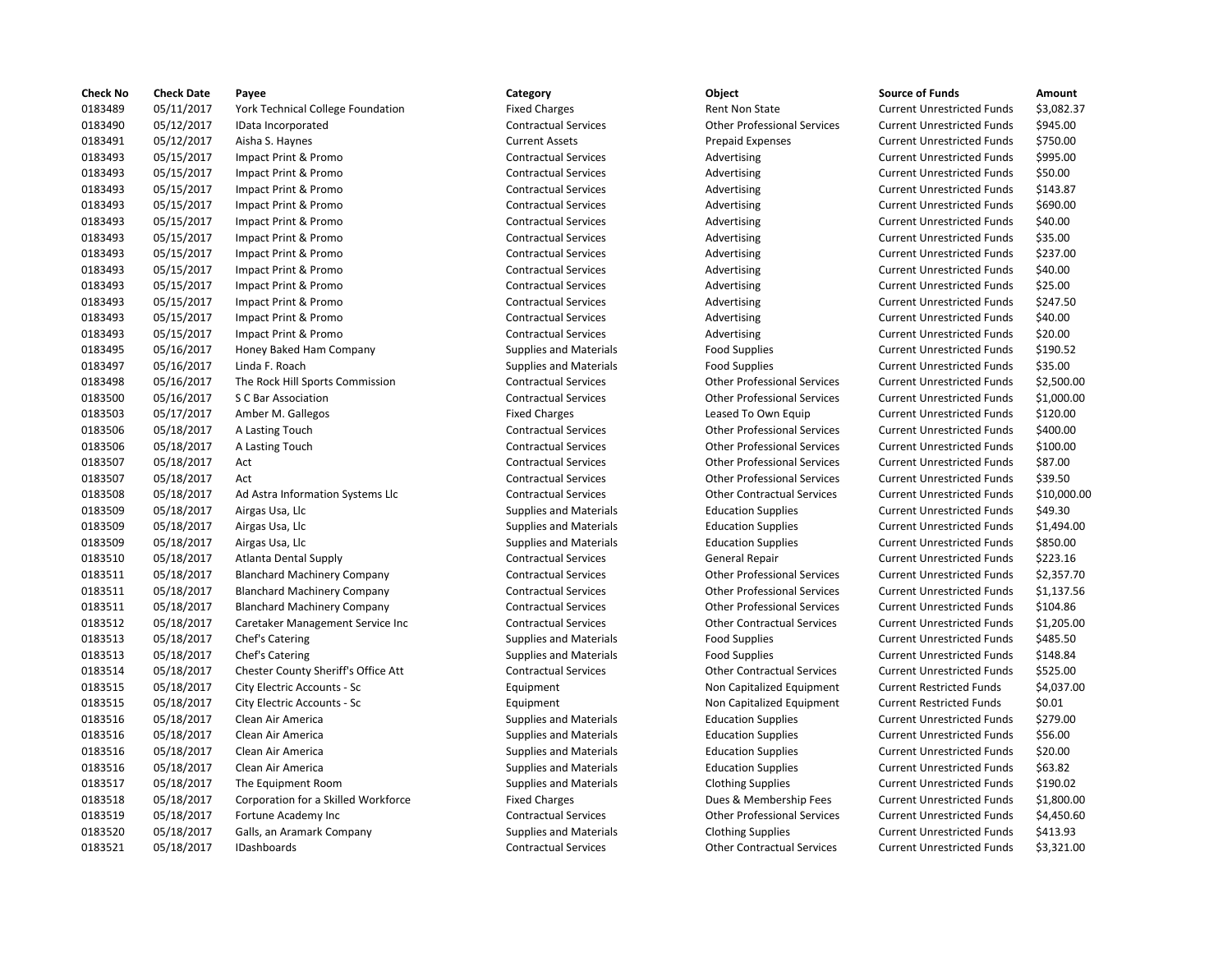| <b>Check No</b> | <b>Check Date</b> | Payee                                                  | Category                                            | Object                                                    | <b>Source of Funds</b>            | Amount    |
|-----------------|-------------------|--------------------------------------------------------|-----------------------------------------------------|-----------------------------------------------------------|-----------------------------------|-----------|
| 0183489         | 05/11/2017        | York Technical College Foundation                      | <b>Fixed Charges</b>                                | <b>Rent Non State</b>                                     | <b>Current Unrestricted Funds</b> | \$3,082.3 |
| 0183490         | 05/12/2017        | IData Incorporated                                     | <b>Contractual Services</b>                         | <b>Other Professional Services</b>                        | <b>Current Unrestricted Funds</b> | \$945.00  |
| 0183491         | 05/12/2017        | Aisha S. Haynes                                        | <b>Current Assets</b>                               | <b>Prepaid Expenses</b>                                   | <b>Current Unrestricted Funds</b> | \$750.00  |
| 0183493         | 05/15/2017        | Impact Print & Promo                                   | <b>Contractual Services</b>                         | Advertising                                               | <b>Current Unrestricted Funds</b> | \$995.00  |
| 0183493         | 05/15/2017        | Impact Print & Promo                                   | <b>Contractual Services</b>                         | Advertising                                               | <b>Current Unrestricted Funds</b> | \$50.00   |
| 0183493         | 05/15/2017        | Impact Print & Promo                                   | <b>Contractual Services</b>                         | Advertising                                               | <b>Current Unrestricted Funds</b> | \$143.87  |
| 0183493         | 05/15/2017        | Impact Print & Promo                                   | <b>Contractual Services</b>                         | Advertising                                               | <b>Current Unrestricted Funds</b> | \$690.00  |
| 0183493         | 05/15/2017        | Impact Print & Promo                                   | <b>Contractual Services</b>                         | Advertising                                               | <b>Current Unrestricted Funds</b> | \$40.00   |
| 0183493         | 05/15/2017        | Impact Print & Promo                                   | <b>Contractual Services</b>                         | Advertising                                               | <b>Current Unrestricted Funds</b> | \$35.00   |
| 0183493         | 05/15/2017        | Impact Print & Promo                                   | <b>Contractual Services</b>                         | Advertising                                               | <b>Current Unrestricted Funds</b> | \$237.00  |
| 0183493         | 05/15/2017        | Impact Print & Promo                                   | <b>Contractual Services</b>                         | Advertising                                               | <b>Current Unrestricted Funds</b> | \$40.00   |
| 0183493         | 05/15/2017        | Impact Print & Promo                                   | <b>Contractual Services</b>                         | Advertising                                               | <b>Current Unrestricted Funds</b> | \$25.00   |
| 0183493         | 05/15/2017        | Impact Print & Promo                                   | <b>Contractual Services</b>                         | Advertising                                               | <b>Current Unrestricted Funds</b> | \$247.50  |
| 0183493         | 05/15/2017        | Impact Print & Promo                                   | <b>Contractual Services</b>                         | Advertising                                               | <b>Current Unrestricted Funds</b> | \$40.00   |
| 0183493         | 05/15/2017        | Impact Print & Promo                                   | <b>Contractual Services</b>                         | Advertising                                               | <b>Current Unrestricted Funds</b> | \$20.00   |
| 0183495         | 05/16/2017        | Honey Baked Ham Company                                | <b>Supplies and Materials</b>                       | <b>Food Supplies</b>                                      | <b>Current Unrestricted Funds</b> | \$190.52  |
| 0183497         | 05/16/2017        | Linda F. Roach                                         | <b>Supplies and Materials</b>                       | <b>Food Supplies</b>                                      | <b>Current Unrestricted Funds</b> | \$35.00   |
| 0183498         | 05/16/2017        |                                                        | <b>Contractual Services</b>                         | <b>Other Professional Services</b>                        | <b>Current Unrestricted Funds</b> | \$2,500.0 |
| 0183500         |                   | The Rock Hill Sports Commission<br>S C Bar Association | <b>Contractual Services</b>                         | <b>Other Professional Services</b>                        |                                   | \$1,000.0 |
| 0183503         | 05/16/2017        |                                                        |                                                     |                                                           | <b>Current Unrestricted Funds</b> | \$120.00  |
|                 | 05/17/2017        | Amber M. Gallegos                                      | <b>Fixed Charges</b><br><b>Contractual Services</b> | Leased To Own Equip<br><b>Other Professional Services</b> | <b>Current Unrestricted Funds</b> | \$400.00  |
| 0183506         | 05/18/2017        | A Lasting Touch                                        |                                                     |                                                           | <b>Current Unrestricted Funds</b> |           |
| 0183506         | 05/18/2017        | A Lasting Touch                                        | <b>Contractual Services</b>                         | <b>Other Professional Services</b>                        | <b>Current Unrestricted Funds</b> | \$100.00  |
| 0183507         | 05/18/2017        | Act                                                    | <b>Contractual Services</b>                         | <b>Other Professional Services</b>                        | <b>Current Unrestricted Funds</b> | \$87.00   |
| 0183507         | 05/18/2017        | Act                                                    | <b>Contractual Services</b>                         | <b>Other Professional Services</b>                        | <b>Current Unrestricted Funds</b> | \$39.50   |
| 0183508         | 05/18/2017        | Ad Astra Information Systems Llc                       | <b>Contractual Services</b>                         | <b>Other Contractual Services</b>                         | <b>Current Unrestricted Funds</b> | \$10,000  |
| 0183509         | 05/18/2017        | Airgas Usa, Llc                                        | <b>Supplies and Materials</b>                       | <b>Education Supplies</b>                                 | <b>Current Unrestricted Funds</b> | \$49.30   |
| 0183509         | 05/18/2017        | Airgas Usa, Llc                                        | <b>Supplies and Materials</b>                       | <b>Education Supplies</b>                                 | <b>Current Unrestricted Funds</b> | \$1,494.0 |
| 0183509         | 05/18/2017        | Airgas Usa, Llc                                        | <b>Supplies and Materials</b>                       | <b>Education Supplies</b>                                 | <b>Current Unrestricted Funds</b> | \$850.00  |
| 0183510         | 05/18/2017        | Atlanta Dental Supply                                  | <b>Contractual Services</b>                         | <b>General Repair</b>                                     | <b>Current Unrestricted Funds</b> | \$223.16  |
| 0183511         | 05/18/2017        | <b>Blanchard Machinery Company</b>                     | <b>Contractual Services</b>                         | <b>Other Professional Services</b>                        | <b>Current Unrestricted Funds</b> | \$2,357.7 |
| 0183511         | 05/18/2017        | <b>Blanchard Machinery Company</b>                     | <b>Contractual Services</b>                         | <b>Other Professional Services</b>                        | <b>Current Unrestricted Funds</b> | \$1,137.5 |
| 0183511         | 05/18/2017        | <b>Blanchard Machinery Company</b>                     | <b>Contractual Services</b>                         | <b>Other Professional Services</b>                        | <b>Current Unrestricted Funds</b> | \$104.86  |
| 0183512         | 05/18/2017        | Caretaker Management Service Inc                       | <b>Contractual Services</b>                         | <b>Other Contractual Services</b>                         | <b>Current Unrestricted Funds</b> | \$1,205.0 |
| 0183513         | 05/18/2017        | Chef's Catering                                        | <b>Supplies and Materials</b>                       | <b>Food Supplies</b>                                      | <b>Current Unrestricted Funds</b> | \$485.50  |
| 0183513         | 05/18/2017        | Chef's Catering                                        | <b>Supplies and Materials</b>                       | <b>Food Supplies</b>                                      | <b>Current Unrestricted Funds</b> | \$148.84  |
| 0183514         | 05/18/2017        | Chester County Sheriff's Office Att                    | <b>Contractual Services</b>                         | <b>Other Contractual Services</b>                         | <b>Current Unrestricted Funds</b> | \$525.00  |
| 0183515         | 05/18/2017        | City Electric Accounts - Sc                            | Equipment                                           | Non Capitalized Equipment                                 | <b>Current Restricted Funds</b>   | \$4,037.0 |
| 0183515         | 05/18/2017        | City Electric Accounts - Sc                            | Equipment                                           | Non Capitalized Equipment                                 | <b>Current Restricted Funds</b>   | \$0.01    |
| 0183516         | 05/18/2017        | Clean Air America                                      | <b>Supplies and Materials</b>                       | <b>Education Supplies</b>                                 | <b>Current Unrestricted Funds</b> | \$279.00  |
| 0183516         | 05/18/2017        | Clean Air America                                      | Supplies and Materials                              | <b>Education Supplies</b>                                 | <b>Current Unrestricted Funds</b> | \$56.00   |
| 0183516         | 05/18/2017        | Clean Air America                                      | <b>Supplies and Materials</b>                       | <b>Education Supplies</b>                                 | <b>Current Unrestricted Funds</b> | \$20.00   |
| 0183516         | 05/18/2017        | Clean Air America                                      | Supplies and Materials                              | <b>Education Supplies</b>                                 | <b>Current Unrestricted Funds</b> | \$63.82   |
| 0183517         | 05/18/2017        | The Equipment Room                                     | <b>Supplies and Materials</b>                       | <b>Clothing Supplies</b>                                  | <b>Current Unrestricted Funds</b> | \$190.02  |
| 0183518         | 05/18/2017        | Corporation for a Skilled Workforce                    | <b>Fixed Charges</b>                                | Dues & Membership Fees                                    | <b>Current Unrestricted Funds</b> | \$1,800.0 |
| 0183519         | 05/18/2017        | Fortune Academy Inc                                    | <b>Contractual Services</b>                         | <b>Other Professional Services</b>                        | <b>Current Unrestricted Funds</b> | \$4,450.6 |
| 0183520         | 05/18/2017        | Galls, an Aramark Company                              | <b>Supplies and Materials</b>                       | <b>Clothing Supplies</b>                                  | <b>Current Unrestricted Funds</b> | \$413.93  |
| 0183521         | 05/18/2017        | <b>IDashboards</b>                                     | <b>Contractual Services</b>                         | <b>Other Contractual Services</b>                         | <b>Current Unrestricted Funds</b> | \$3,321.0 |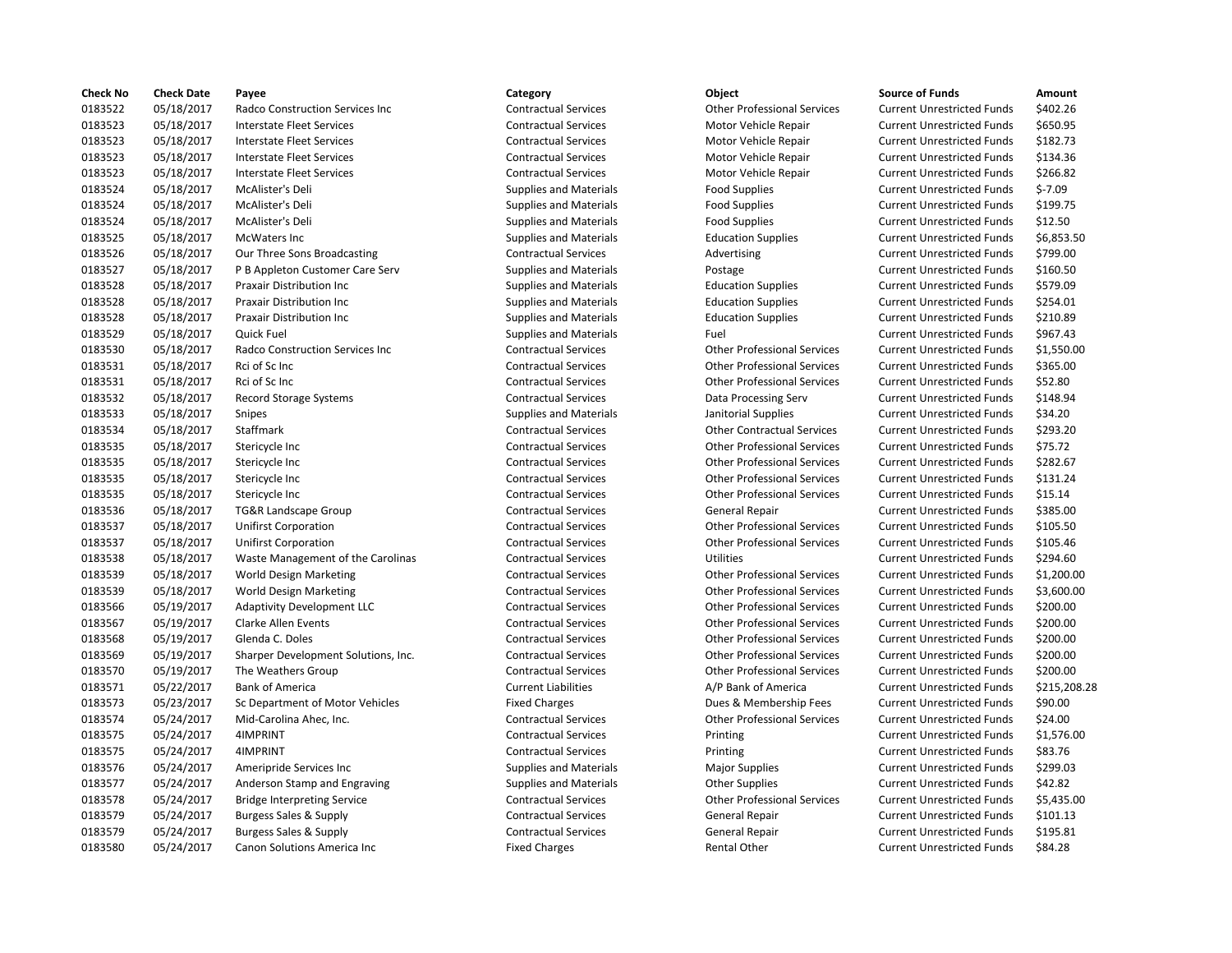| Check No | <b>Check Date</b> | Payee                               | Category                      | Object                             | <b>Source of Funds</b>            | Amount    |
|----------|-------------------|-------------------------------------|-------------------------------|------------------------------------|-----------------------------------|-----------|
| 0183522  | 05/18/2017        | Radco Construction Services Inc     | <b>Contractual Services</b>   | <b>Other Professional Services</b> | <b>Current Unrestricted Funds</b> | \$402.26  |
| 0183523  | 05/18/2017        | <b>Interstate Fleet Services</b>    | <b>Contractual Services</b>   | Motor Vehicle Repair               | <b>Current Unrestricted Funds</b> | \$650.95  |
| 0183523  | 05/18/2017        | Interstate Fleet Services           | <b>Contractual Services</b>   | Motor Vehicle Repair               | <b>Current Unrestricted Funds</b> | \$182.73  |
| 0183523  | 05/18/2017        | Interstate Fleet Services           | <b>Contractual Services</b>   | Motor Vehicle Repair               | <b>Current Unrestricted Funds</b> | \$134.36  |
| 0183523  | 05/18/2017        | <b>Interstate Fleet Services</b>    | <b>Contractual Services</b>   | Motor Vehicle Repair               | <b>Current Unrestricted Funds</b> | \$266.82  |
| 0183524  | 05/18/2017        | McAlister's Deli                    | <b>Supplies and Materials</b> | <b>Food Supplies</b>               | <b>Current Unrestricted Funds</b> | $$-7.09$  |
| 0183524  | 05/18/2017        | McAlister's Deli                    | <b>Supplies and Materials</b> | <b>Food Supplies</b>               | <b>Current Unrestricted Funds</b> | \$199.75  |
| 0183524  | 05/18/2017        | McAlister's Deli                    | <b>Supplies and Materials</b> | <b>Food Supplies</b>               | <b>Current Unrestricted Funds</b> | \$12.50   |
| 0183525  | 05/18/2017        | McWaters Inc                        | <b>Supplies and Materials</b> | <b>Education Supplies</b>          | <b>Current Unrestricted Funds</b> | \$6,853.5 |
| 0183526  | 05/18/2017        | Our Three Sons Broadcasting         | <b>Contractual Services</b>   | Advertising                        | <b>Current Unrestricted Funds</b> | \$799.00  |
| 0183527  | 05/18/2017        | P B Appleton Customer Care Serv     | <b>Supplies and Materials</b> | Postage                            | <b>Current Unrestricted Funds</b> | \$160.50  |
| 0183528  | 05/18/2017        | Praxair Distribution Inc            | <b>Supplies and Materials</b> | <b>Education Supplies</b>          | <b>Current Unrestricted Funds</b> | \$579.09  |
| 0183528  | 05/18/2017        | <b>Praxair Distribution Inc.</b>    | <b>Supplies and Materials</b> | <b>Education Supplies</b>          | <b>Current Unrestricted Funds</b> | \$254.01  |
| 0183528  | 05/18/2017        | Praxair Distribution Inc            | <b>Supplies and Materials</b> | <b>Education Supplies</b>          | <b>Current Unrestricted Funds</b> | \$210.89  |
| 0183529  | 05/18/2017        | Quick Fuel                          | <b>Supplies and Materials</b> | Fuel                               | <b>Current Unrestricted Funds</b> | \$967.43  |
| 0183530  | 05/18/2017        | Radco Construction Services Inc     | <b>Contractual Services</b>   | <b>Other Professional Services</b> | <b>Current Unrestricted Funds</b> | \$1,550.0 |
| 0183531  | 05/18/2017        | Rci of Sc Inc                       | <b>Contractual Services</b>   | <b>Other Professional Services</b> | <b>Current Unrestricted Funds</b> | \$365.00  |
| 0183531  | 05/18/2017        | Rci of Sc Inc                       | <b>Contractual Services</b>   | <b>Other Professional Services</b> | <b>Current Unrestricted Funds</b> | \$52.80   |
| 0183532  | 05/18/2017        | Record Storage Systems              | <b>Contractual Services</b>   | Data Processing Serv               | <b>Current Unrestricted Funds</b> | \$148.94  |
| 0183533  | 05/18/2017        | Snipes                              | <b>Supplies and Materials</b> | Janitorial Supplies                | <b>Current Unrestricted Funds</b> | \$34.20   |
| 0183534  | 05/18/2017        | Staffmark                           | <b>Contractual Services</b>   | <b>Other Contractual Services</b>  | <b>Current Unrestricted Funds</b> | \$293.20  |
| 0183535  | 05/18/2017        | Stericycle Inc                      | <b>Contractual Services</b>   | <b>Other Professional Services</b> | <b>Current Unrestricted Funds</b> | \$75.72   |
| 0183535  | 05/18/2017        | Stericycle Inc                      | <b>Contractual Services</b>   | <b>Other Professional Services</b> | <b>Current Unrestricted Funds</b> | \$282.67  |
| 0183535  | 05/18/2017        | Stericycle Inc                      | <b>Contractual Services</b>   | <b>Other Professional Services</b> | <b>Current Unrestricted Funds</b> | \$131.24  |
| 0183535  | 05/18/2017        | Stericycle Inc                      | <b>Contractual Services</b>   | <b>Other Professional Services</b> | <b>Current Unrestricted Funds</b> | \$15.14   |
|          |                   |                                     |                               |                                    |                                   | \$385.00  |
| 0183536  | 05/18/2017        | <b>TG&amp;R Landscape Group</b>     | <b>Contractual Services</b>   | <b>General Repair</b>              | <b>Current Unrestricted Funds</b> |           |
| 0183537  | 05/18/2017        | <b>Unifirst Corporation</b>         | <b>Contractual Services</b>   | <b>Other Professional Services</b> | <b>Current Unrestricted Funds</b> | \$105.50  |
| 0183537  | 05/18/2017        | <b>Unifirst Corporation</b>         | <b>Contractual Services</b>   | <b>Other Professional Services</b> | <b>Current Unrestricted Funds</b> | \$105.46  |
| 0183538  | 05/18/2017        | Waste Management of the Carolinas   | <b>Contractual Services</b>   | <b>Utilities</b>                   | <b>Current Unrestricted Funds</b> | \$294.60  |
| 0183539  | 05/18/2017        | <b>World Design Marketing</b>       | <b>Contractual Services</b>   | <b>Other Professional Services</b> | <b>Current Unrestricted Funds</b> | \$1,200.0 |
| 0183539  | 05/18/2017        | <b>World Design Marketing</b>       | <b>Contractual Services</b>   | <b>Other Professional Services</b> | <b>Current Unrestricted Funds</b> | \$3,600.0 |
| 0183566  | 05/19/2017        | <b>Adaptivity Development LLC</b>   | <b>Contractual Services</b>   | <b>Other Professional Services</b> | <b>Current Unrestricted Funds</b> | \$200.00  |
| 0183567  | 05/19/2017        | <b>Clarke Allen Events</b>          | <b>Contractual Services</b>   | <b>Other Professional Services</b> | <b>Current Unrestricted Funds</b> | \$200.00  |
| 0183568  | 05/19/2017        | Glenda C. Doles                     | <b>Contractual Services</b>   | <b>Other Professional Services</b> | <b>Current Unrestricted Funds</b> | \$200.00  |
| 0183569  | 05/19/2017        | Sharper Development Solutions, Inc. | <b>Contractual Services</b>   | <b>Other Professional Services</b> | <b>Current Unrestricted Funds</b> | \$200.00  |
| 0183570  | 05/19/2017        | The Weathers Group                  | <b>Contractual Services</b>   | <b>Other Professional Services</b> | <b>Current Unrestricted Funds</b> | \$200.00  |
| 0183571  | 05/22/2017        | <b>Bank of America</b>              | <b>Current Liabilities</b>    | A/P Bank of America                | <b>Current Unrestricted Funds</b> | \$215,20  |
| 0183573  | 05/23/2017        | Sc Department of Motor Vehicles     | <b>Fixed Charges</b>          | Dues & Membership Fees             | <b>Current Unrestricted Funds</b> | \$90.00   |
| 0183574  | 05/24/2017        | Mid-Carolina Ahec, Inc.             | <b>Contractual Services</b>   | <b>Other Professional Services</b> | <b>Current Unrestricted Funds</b> | \$24.00   |
| 0183575  | 05/24/2017        | 4IMPRINT                            | <b>Contractual Services</b>   | Printing                           | <b>Current Unrestricted Funds</b> | \$1,576.0 |
| 0183575  | 05/24/2017        | 4IMPRINT                            | <b>Contractual Services</b>   | Printing                           | <b>Current Unrestricted Funds</b> | \$83.76   |
| 0183576  | 05/24/2017        | Ameripride Services Inc             | <b>Supplies and Materials</b> | <b>Major Supplies</b>              | <b>Current Unrestricted Funds</b> | \$299.03  |
| 0183577  | 05/24/2017        | Anderson Stamp and Engraving        | <b>Supplies and Materials</b> | <b>Other Supplies</b>              | <b>Current Unrestricted Funds</b> | \$42.82   |
| 0183578  | 05/24/2017        | <b>Bridge Interpreting Service</b>  | <b>Contractual Services</b>   | <b>Other Professional Services</b> | <b>Current Unrestricted Funds</b> | \$5,435.0 |
| 0183579  | 05/24/2017        | Burgess Sales & Supply              | <b>Contractual Services</b>   | <b>General Repair</b>              | <b>Current Unrestricted Funds</b> | \$101.13  |
| 0183579  | 05/24/2017        | <b>Burgess Sales &amp; Supply</b>   | <b>Contractual Services</b>   | General Repair                     | <b>Current Unrestricted Funds</b> | \$195.81  |
| 0183580  | 05/24/2017        | Canon Solutions America Inc         | <b>Fixed Charges</b>          | Rental Other                       | <b>Current Unrestricted Funds</b> | \$84.28   |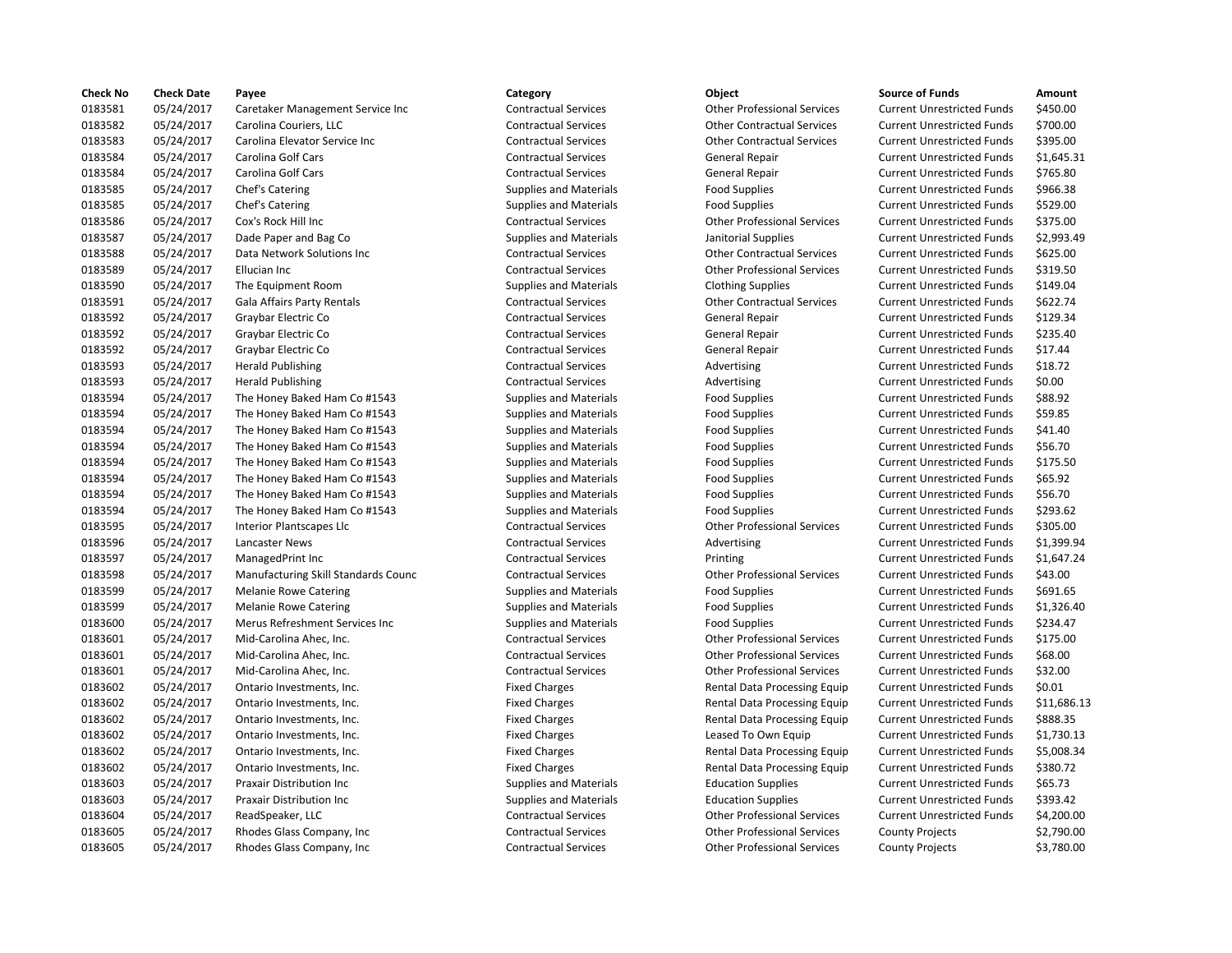| <b>Check No</b> | <b>Check Date</b> | Payee                                      | Category                      | Object                             | <b>Source of Funds</b>            | Amount     |
|-----------------|-------------------|--------------------------------------------|-------------------------------|------------------------------------|-----------------------------------|------------|
| 0183581         | 05/24/2017        | Caretaker Management Service Inc           | <b>Contractual Services</b>   | <b>Other Professional Services</b> | <b>Current Unrestricted Funds</b> | \$450.00   |
| 0183582         | 05/24/2017        | Carolina Couriers, LLC                     | <b>Contractual Services</b>   | <b>Other Contractual Services</b>  | <b>Current Unrestricted Funds</b> | \$700.00   |
| 0183583         | 05/24/2017        | Carolina Elevator Service Inc              | <b>Contractual Services</b>   | <b>Other Contractual Services</b>  | <b>Current Unrestricted Funds</b> | \$395.00   |
| 0183584         | 05/24/2017        | Carolina Golf Cars                         | <b>Contractual Services</b>   | General Repair                     | <b>Current Unrestricted Funds</b> | \$1,645.31 |
| 0183584         | 05/24/2017        | Carolina Golf Cars                         | <b>Contractual Services</b>   | General Repair                     | <b>Current Unrestricted Funds</b> | \$765.80   |
| 0183585         | 05/24/2017        | Chef's Catering                            | <b>Supplies and Materials</b> | <b>Food Supplies</b>               | <b>Current Unrestricted Funds</b> | \$966.38   |
| 0183585         | 05/24/2017        | Chef's Catering                            | <b>Supplies and Materials</b> | <b>Food Supplies</b>               | <b>Current Unrestricted Funds</b> | \$529.00   |
| 0183586         | 05/24/2017        | Cox's Rock Hill Inc                        | <b>Contractual Services</b>   | <b>Other Professional Services</b> | <b>Current Unrestricted Funds</b> | \$375.00   |
| 0183587         | 05/24/2017        | Dade Paper and Bag Co                      | Supplies and Materials        | Janitorial Supplies                | <b>Current Unrestricted Funds</b> | \$2,993.49 |
| 0183588         | 05/24/2017        | Data Network Solutions Inc                 | <b>Contractual Services</b>   | <b>Other Contractual Services</b>  | <b>Current Unrestricted Funds</b> | \$625.00   |
| 0183589         | 05/24/2017        | Ellucian Inc                               | <b>Contractual Services</b>   | <b>Other Professional Services</b> | <b>Current Unrestricted Funds</b> | \$319.50   |
| 0183590         | 05/24/2017        | The Equipment Room                         | <b>Supplies and Materials</b> | <b>Clothing Supplies</b>           | <b>Current Unrestricted Funds</b> | \$149.04   |
| 0183591         | 05/24/2017        | Gala Affairs Party Rentals                 | <b>Contractual Services</b>   | <b>Other Contractual Services</b>  | <b>Current Unrestricted Funds</b> | \$622.74   |
| 0183592         | 05/24/2017        | Graybar Electric Co                        | <b>Contractual Services</b>   | <b>General Repair</b>              | <b>Current Unrestricted Funds</b> | \$129.34   |
| 0183592         | 05/24/2017        | Graybar Electric Co                        | <b>Contractual Services</b>   | General Repair                     | <b>Current Unrestricted Funds</b> | \$235.40   |
| 0183592         | 05/24/2017        | Graybar Electric Co                        | <b>Contractual Services</b>   | General Repair                     | Current Unrestricted Funds        | \$17.44    |
| 0183593         | 05/24/2017        | <b>Herald Publishing</b>                   | <b>Contractual Services</b>   | Advertising                        | <b>Current Unrestricted Funds</b> | \$18.72    |
| 0183593         | 05/24/2017        | <b>Herald Publishing</b>                   | <b>Contractual Services</b>   | Advertising                        | <b>Current Unrestricted Funds</b> | \$0.00     |
| 0183594         | 05/24/2017        | The Honey Baked Ham Co #1543               | <b>Supplies and Materials</b> | <b>Food Supplies</b>               | <b>Current Unrestricted Funds</b> | \$88.92    |
| 0183594         | 05/24/2017        | The Honey Baked Ham Co #1543               | <b>Supplies and Materials</b> | <b>Food Supplies</b>               | <b>Current Unrestricted Funds</b> | \$59.85    |
| 0183594         | 05/24/2017        | The Honey Baked Ham Co #1543               | <b>Supplies and Materials</b> | <b>Food Supplies</b>               | <b>Current Unrestricted Funds</b> | \$41.40    |
| 0183594         | 05/24/2017        | The Honey Baked Ham Co #1543               | <b>Supplies and Materials</b> | <b>Food Supplies</b>               | <b>Current Unrestricted Funds</b> | \$56.70    |
| 0183594         | 05/24/2017        | The Honey Baked Ham Co #1543               | <b>Supplies and Materials</b> | <b>Food Supplies</b>               | <b>Current Unrestricted Funds</b> | \$175.50   |
| 0183594         | 05/24/2017        | The Honey Baked Ham Co #1543               | Supplies and Materials        | <b>Food Supplies</b>               | <b>Current Unrestricted Funds</b> | \$65.92    |
| 0183594         | 05/24/2017        | The Honey Baked Ham Co #1543               |                               | <b>Food Supplies</b>               | <b>Current Unrestricted Funds</b> | \$56.70    |
|                 |                   |                                            | <b>Supplies and Materials</b> |                                    |                                   | \$293.62   |
| 0183594         | 05/24/2017        | The Honey Baked Ham Co #1543               | <b>Supplies and Materials</b> | <b>Food Supplies</b>               | <b>Current Unrestricted Funds</b> |            |
| 0183595         | 05/24/2017        | <b>Interior Plantscapes Llc</b>            | <b>Contractual Services</b>   | <b>Other Professional Services</b> | <b>Current Unrestricted Funds</b> | \$305.00   |
| 0183596         | 05/24/2017        | Lancaster News                             | <b>Contractual Services</b>   | Advertising                        | <b>Current Unrestricted Funds</b> | \$1,399.94 |
| 0183597         | 05/24/2017        | ManagedPrint Inc                           | <b>Contractual Services</b>   | Printing                           | <b>Current Unrestricted Funds</b> | \$1,647.24 |
| 0183598         | 05/24/2017        | <b>Manufacturing Skill Standards Counc</b> | <b>Contractual Services</b>   | <b>Other Professional Services</b> | <b>Current Unrestricted Funds</b> | \$43.00    |
| 0183599         | 05/24/2017        | <b>Melanie Rowe Catering</b>               | <b>Supplies and Materials</b> | <b>Food Supplies</b>               | <b>Current Unrestricted Funds</b> | \$691.65   |
| 0183599         | 05/24/2017        | <b>Melanie Rowe Catering</b>               | <b>Supplies and Materials</b> | <b>Food Supplies</b>               | <b>Current Unrestricted Funds</b> | \$1,326.40 |
| 0183600         | 05/24/2017        | Merus Refreshment Services Inc             | <b>Supplies and Materials</b> | <b>Food Supplies</b>               | <b>Current Unrestricted Funds</b> | \$234.47   |
| 0183601         | 05/24/2017        | Mid-Carolina Ahec, Inc.                    | <b>Contractual Services</b>   | <b>Other Professional Services</b> | <b>Current Unrestricted Funds</b> | \$175.00   |
| 0183601         | 05/24/2017        | Mid-Carolina Ahec, Inc.                    | <b>Contractual Services</b>   | <b>Other Professional Services</b> | <b>Current Unrestricted Funds</b> | \$68.00    |
| 0183601         | 05/24/2017        | Mid-Carolina Ahec, Inc.                    | <b>Contractual Services</b>   | <b>Other Professional Services</b> | <b>Current Unrestricted Funds</b> | \$32.00    |
| 0183602         | 05/24/2017        | Ontario Investments, Inc.                  | <b>Fixed Charges</b>          | Rental Data Processing Equip       | <b>Current Unrestricted Funds</b> | \$0.01     |
| 0183602         | 05/24/2017        | Ontario Investments, Inc.                  | <b>Fixed Charges</b>          | Rental Data Processing Equip       | <b>Current Unrestricted Funds</b> | \$11,686.1 |
| 0183602         | 05/24/2017        | Ontario Investments, Inc.                  | <b>Fixed Charges</b>          | Rental Data Processing Equip       | <b>Current Unrestricted Funds</b> | \$888.35   |
| 0183602         | 05/24/2017        | Ontario Investments, Inc.                  | <b>Fixed Charges</b>          | Leased To Own Equip                | <b>Current Unrestricted Funds</b> | \$1,730.13 |
| 0183602         | 05/24/2017        | Ontario Investments, Inc.                  | <b>Fixed Charges</b>          | Rental Data Processing Equip       | <b>Current Unrestricted Funds</b> | \$5,008.34 |
| 0183602         | 05/24/2017        | Ontario Investments, Inc.                  | <b>Fixed Charges</b>          | Rental Data Processing Equip       | <b>Current Unrestricted Funds</b> | \$380.72   |
| 0183603         | 05/24/2017        | Praxair Distribution Inc                   | <b>Supplies and Materials</b> | <b>Education Supplies</b>          | <b>Current Unrestricted Funds</b> | \$65.73    |
| 0183603         | 05/24/2017        | Praxair Distribution Inc                   | <b>Supplies and Materials</b> | <b>Education Supplies</b>          | <b>Current Unrestricted Funds</b> | \$393.42   |
| 0183604         | 05/24/2017        | ReadSpeaker, LLC                           | <b>Contractual Services</b>   | <b>Other Professional Services</b> | <b>Current Unrestricted Funds</b> | \$4,200.00 |
| 0183605         | 05/24/2017        | Rhodes Glass Company, Inc.                 | <b>Contractual Services</b>   | <b>Other Professional Services</b> | <b>County Projects</b>            | \$2,790.00 |
| 0183605         | 05/24/2017        | Rhodes Glass Company, Inc.                 | <b>Contractual Services</b>   | <b>Other Professional Services</b> | <b>County Projects</b>            | \$3,780.00 |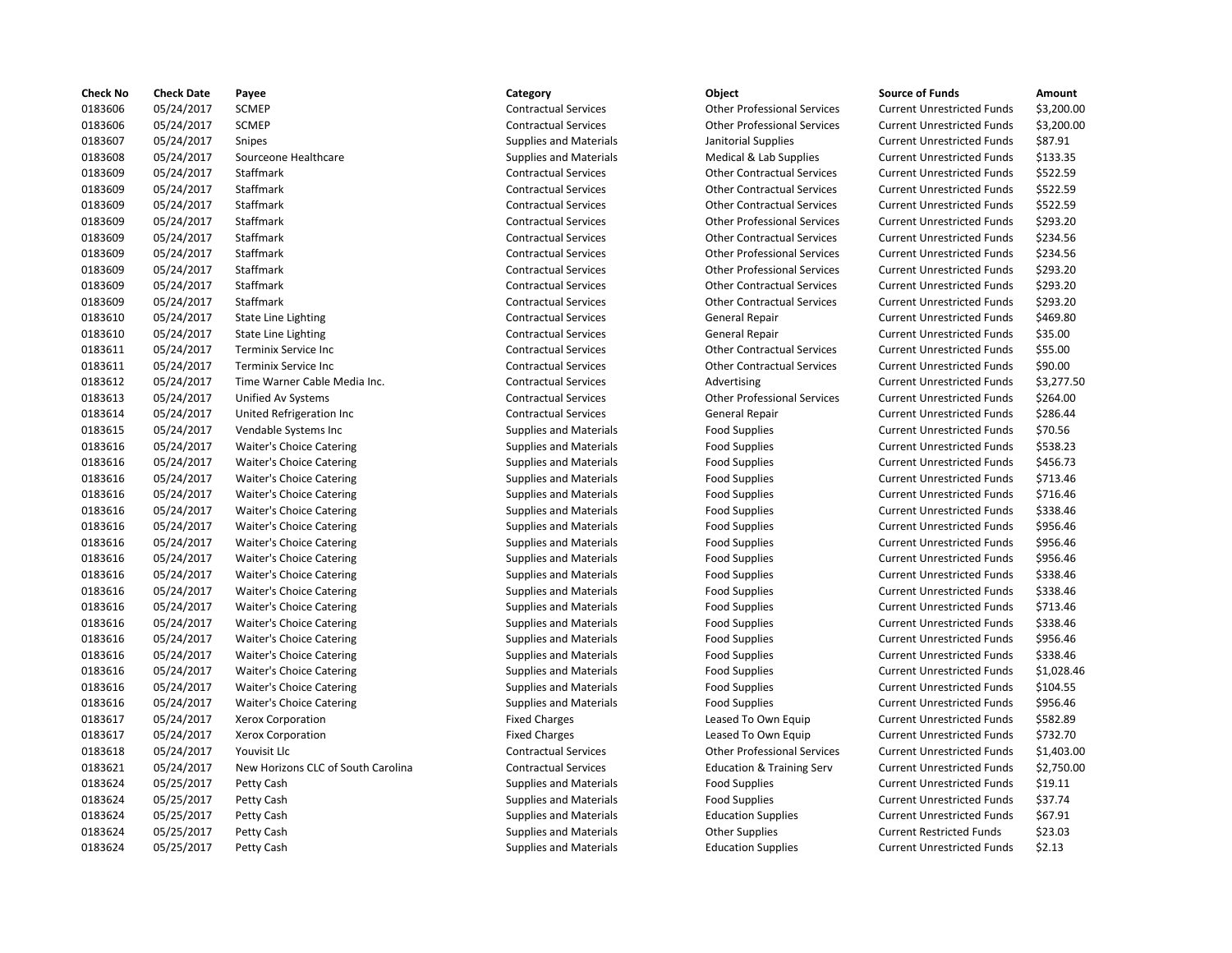| <b>Check No</b> | <b>Check Date</b> | Payee                              | Category                      | Object                               | <b>Source of Funds</b>            | Amount    |
|-----------------|-------------------|------------------------------------|-------------------------------|--------------------------------------|-----------------------------------|-----------|
| 0183606         | 05/24/2017        | <b>SCMEP</b>                       | <b>Contractual Services</b>   | <b>Other Professional Services</b>   | <b>Current Unrestricted Funds</b> | \$3,200.0 |
| 0183606         | 05/24/2017        | <b>SCMEP</b>                       | <b>Contractual Services</b>   | <b>Other Professional Services</b>   | <b>Current Unrestricted Funds</b> | \$3,200.0 |
| 0183607         | 05/24/2017        | Snipes                             | <b>Supplies and Materials</b> | Janitorial Supplies                  | <b>Current Unrestricted Funds</b> | \$87.91   |
| 0183608         | 05/24/2017        | Sourceone Healthcare               | <b>Supplies and Materials</b> | Medical & Lab Supplies               | <b>Current Unrestricted Funds</b> | \$133.35  |
| 0183609         | 05/24/2017        | Staffmark                          | <b>Contractual Services</b>   | <b>Other Contractual Services</b>    | <b>Current Unrestricted Funds</b> | \$522.59  |
| 0183609         | 05/24/2017        | Staffmark                          | <b>Contractual Services</b>   | <b>Other Contractual Services</b>    | <b>Current Unrestricted Funds</b> | \$522.59  |
| 0183609         | 05/24/2017        | Staffmark                          | <b>Contractual Services</b>   | <b>Other Contractual Services</b>    | <b>Current Unrestricted Funds</b> | \$522.59  |
| 0183609         | 05/24/2017        | Staffmark                          | <b>Contractual Services</b>   | <b>Other Professional Services</b>   | <b>Current Unrestricted Funds</b> | \$293.20  |
| 0183609         | 05/24/2017        | Staffmark                          | <b>Contractual Services</b>   | <b>Other Contractual Services</b>    | <b>Current Unrestricted Funds</b> | \$234.56  |
| 0183609         | 05/24/2017        | Staffmark                          | <b>Contractual Services</b>   | <b>Other Professional Services</b>   | <b>Current Unrestricted Funds</b> | \$234.56  |
| 0183609         | 05/24/2017        | Staffmark                          | <b>Contractual Services</b>   | <b>Other Professional Services</b>   | <b>Current Unrestricted Funds</b> | \$293.20  |
| 0183609         | 05/24/2017        | Staffmark                          | <b>Contractual Services</b>   | <b>Other Contractual Services</b>    | <b>Current Unrestricted Funds</b> | \$293.20  |
| 0183609         | 05/24/2017        | Staffmark                          | <b>Contractual Services</b>   | <b>Other Contractual Services</b>    | <b>Current Unrestricted Funds</b> | \$293.20  |
| 0183610         | 05/24/2017        | <b>State Line Lighting</b>         | <b>Contractual Services</b>   | General Repair                       | <b>Current Unrestricted Funds</b> | \$469.80  |
| 0183610         | 05/24/2017        | <b>State Line Lighting</b>         | <b>Contractual Services</b>   | General Repair                       | <b>Current Unrestricted Funds</b> | \$35.00   |
| 0183611         | 05/24/2017        | Terminix Service Inc               | <b>Contractual Services</b>   | <b>Other Contractual Services</b>    | <b>Current Unrestricted Funds</b> | \$55.00   |
| 0183611         | 05/24/2017        | Terminix Service Inc               | <b>Contractual Services</b>   | <b>Other Contractual Services</b>    | <b>Current Unrestricted Funds</b> | \$90.00   |
| 0183612         | 05/24/2017        | Time Warner Cable Media Inc.       | <b>Contractual Services</b>   | Advertising                          | <b>Current Unrestricted Funds</b> | \$3,277.5 |
| 0183613         | 05/24/2017        | Unified Av Systems                 | <b>Contractual Services</b>   | <b>Other Professional Services</b>   | <b>Current Unrestricted Funds</b> | \$264.00  |
| 0183614         | 05/24/2017        | United Refrigeration Inc           | <b>Contractual Services</b>   | General Repair                       | <b>Current Unrestricted Funds</b> | \$286.44  |
| 0183615         | 05/24/2017        | Vendable Systems Inc               | <b>Supplies and Materials</b> | <b>Food Supplies</b>                 | <b>Current Unrestricted Funds</b> | \$70.56   |
| 0183616         | 05/24/2017        | <b>Waiter's Choice Catering</b>    | <b>Supplies and Materials</b> | <b>Food Supplies</b>                 | <b>Current Unrestricted Funds</b> | \$538.23  |
| 0183616         | 05/24/2017        | <b>Waiter's Choice Catering</b>    | Supplies and Materials        | <b>Food Supplies</b>                 | <b>Current Unrestricted Funds</b> | \$456.73  |
| 0183616         | 05/24/2017        | <b>Waiter's Choice Catering</b>    | <b>Supplies and Materials</b> | <b>Food Supplies</b>                 | <b>Current Unrestricted Funds</b> | \$713.46  |
| 0183616         | 05/24/2017        | <b>Waiter's Choice Catering</b>    | <b>Supplies and Materials</b> | <b>Food Supplies</b>                 | <b>Current Unrestricted Funds</b> | \$716.46  |
| 0183616         | 05/24/2017        | <b>Waiter's Choice Catering</b>    | <b>Supplies and Materials</b> | <b>Food Supplies</b>                 | <b>Current Unrestricted Funds</b> | \$338.46  |
| 0183616         | 05/24/2017        | Waiter's Choice Catering           | <b>Supplies and Materials</b> | <b>Food Supplies</b>                 | <b>Current Unrestricted Funds</b> | \$956.46  |
| 0183616         | 05/24/2017        | Waiter's Choice Catering           | <b>Supplies and Materials</b> | <b>Food Supplies</b>                 | <b>Current Unrestricted Funds</b> | \$956.46  |
| 0183616         | 05/24/2017        | Waiter's Choice Catering           | <b>Supplies and Materials</b> | <b>Food Supplies</b>                 | <b>Current Unrestricted Funds</b> | \$956.46  |
| 0183616         | 05/24/2017        | <b>Waiter's Choice Catering</b>    | <b>Supplies and Materials</b> | <b>Food Supplies</b>                 | <b>Current Unrestricted Funds</b> | \$338.46  |
| 0183616         | 05/24/2017        | <b>Waiter's Choice Catering</b>    | <b>Supplies and Materials</b> | <b>Food Supplies</b>                 | <b>Current Unrestricted Funds</b> | \$338.46  |
| 0183616         | 05/24/2017        | <b>Waiter's Choice Catering</b>    | <b>Supplies and Materials</b> | <b>Food Supplies</b>                 | <b>Current Unrestricted Funds</b> | \$713.46  |
| 0183616         | 05/24/2017        | <b>Waiter's Choice Catering</b>    | <b>Supplies and Materials</b> | <b>Food Supplies</b>                 | <b>Current Unrestricted Funds</b> | \$338.46  |
| 0183616         | 05/24/2017        | <b>Waiter's Choice Catering</b>    | Supplies and Materials        | <b>Food Supplies</b>                 | <b>Current Unrestricted Funds</b> | \$956.46  |
| 0183616         | 05/24/2017        | Waiter's Choice Catering           | Supplies and Materials        | <b>Food Supplies</b>                 | <b>Current Unrestricted Funds</b> | \$338.46  |
| 0183616         | 05/24/2017        | <b>Waiter's Choice Catering</b>    | <b>Supplies and Materials</b> | <b>Food Supplies</b>                 | <b>Current Unrestricted Funds</b> | \$1,028.4 |
| 0183616         | 05/24/2017        | Waiter's Choice Catering           | <b>Supplies and Materials</b> | <b>Food Supplies</b>                 | <b>Current Unrestricted Funds</b> | \$104.55  |
| 0183616         | 05/24/2017        | Waiter's Choice Catering           | <b>Supplies and Materials</b> | <b>Food Supplies</b>                 | <b>Current Unrestricted Funds</b> | \$956.46  |
| 0183617         | 05/24/2017        | <b>Xerox Corporation</b>           | <b>Fixed Charges</b>          | Leased To Own Equip                  | <b>Current Unrestricted Funds</b> | \$582.89  |
| 0183617         | 05/24/2017        | Xerox Corporation                  | <b>Fixed Charges</b>          | Leased To Own Equip                  | <b>Current Unrestricted Funds</b> | \$732.70  |
| 0183618         | 05/24/2017        | Youvisit Llc                       | <b>Contractual Services</b>   | <b>Other Professional Services</b>   | <b>Current Unrestricted Funds</b> | \$1,403.0 |
| 0183621         | 05/24/2017        | New Horizons CLC of South Carolina | <b>Contractual Services</b>   | <b>Education &amp; Training Serv</b> | <b>Current Unrestricted Funds</b> | \$2,750.0 |
| 0183624         | 05/25/2017        | Petty Cash                         | <b>Supplies and Materials</b> | <b>Food Supplies</b>                 | <b>Current Unrestricted Funds</b> | \$19.11   |
| 0183624         | 05/25/2017        | Petty Cash                         | <b>Supplies and Materials</b> | <b>Food Supplies</b>                 | <b>Current Unrestricted Funds</b> | \$37.74   |
| 0183624         | 05/25/2017        | Petty Cash                         | <b>Supplies and Materials</b> | <b>Education Supplies</b>            | <b>Current Unrestricted Funds</b> | \$67.91   |
| 0183624         | 05/25/2017        | Petty Cash                         | <b>Supplies and Materials</b> | <b>Other Supplies</b>                | <b>Current Restricted Funds</b>   | \$23.03   |
| 0183624         | 05/25/2017        | Petty Cash                         | <b>Supplies and Materials</b> | <b>Education Supplies</b>            | <b>Current Unrestricted Funds</b> | \$2.13    |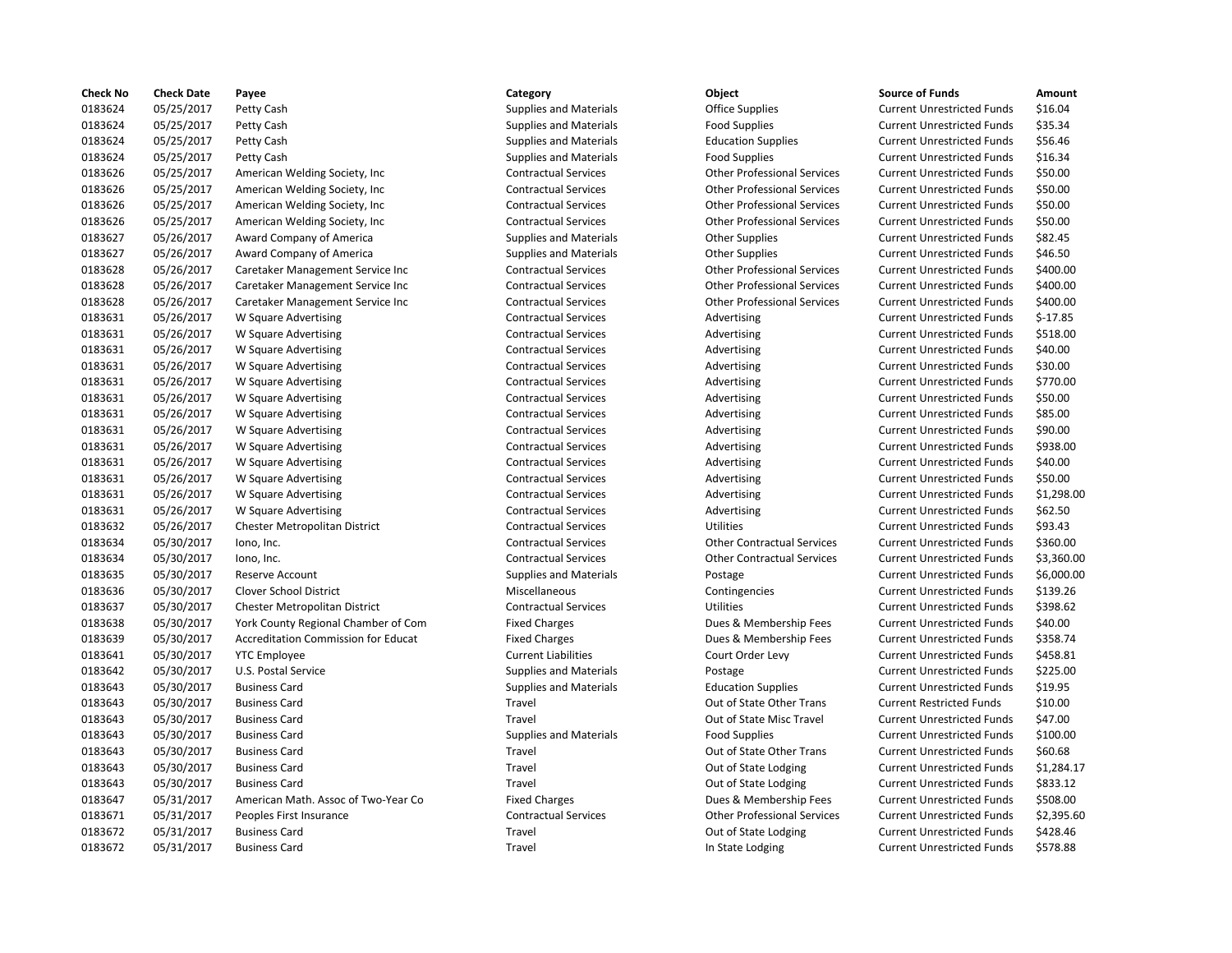| <b>Check No</b> | <b>Check Date</b> | Payee                               | Category                      | Object                             | <b>Source of Funds</b>            | Amount    |
|-----------------|-------------------|-------------------------------------|-------------------------------|------------------------------------|-----------------------------------|-----------|
| 0183624         | 05/25/2017        | Petty Cash                          | <b>Supplies and Materials</b> | <b>Office Supplies</b>             | <b>Current Unrestricted Funds</b> | \$16.04   |
| 0183624         | 05/25/2017        | Petty Cash                          | Supplies and Materials        | <b>Food Supplies</b>               | <b>Current Unrestricted Funds</b> | \$35.34   |
| 0183624         | 05/25/2017        | Petty Cash                          | Supplies and Materials        | <b>Education Supplies</b>          | <b>Current Unrestricted Funds</b> | \$56.46   |
| 0183624         | 05/25/2017        | Petty Cash                          | <b>Supplies and Materials</b> | <b>Food Supplies</b>               | <b>Current Unrestricted Funds</b> | \$16.34   |
| 0183626         | 05/25/2017        | American Welding Society, Inc.      | <b>Contractual Services</b>   | <b>Other Professional Services</b> | <b>Current Unrestricted Funds</b> | \$50.00   |
| 0183626         | 05/25/2017        | American Welding Society, Inc       | <b>Contractual Services</b>   | <b>Other Professional Services</b> | <b>Current Unrestricted Funds</b> | \$50.00   |
| 0183626         | 05/25/2017        | American Welding Society, Inc.      | <b>Contractual Services</b>   | <b>Other Professional Services</b> | <b>Current Unrestricted Funds</b> | \$50.00   |
| 0183626         | 05/25/2017        | American Welding Society, Inc       | <b>Contractual Services</b>   | <b>Other Professional Services</b> | <b>Current Unrestricted Funds</b> | \$50.00   |
| 0183627         | 05/26/2017        | Award Company of America            | <b>Supplies and Materials</b> | <b>Other Supplies</b>              | <b>Current Unrestricted Funds</b> | \$82.45   |
| 0183627         | 05/26/2017        | Award Company of America            | <b>Supplies and Materials</b> | <b>Other Supplies</b>              | <b>Current Unrestricted Funds</b> | \$46.50   |
| 0183628         | 05/26/2017        | Caretaker Management Service Inc    | <b>Contractual Services</b>   | <b>Other Professional Services</b> | <b>Current Unrestricted Funds</b> | \$400.00  |
| 0183628         | 05/26/2017        | Caretaker Management Service Inc    | <b>Contractual Services</b>   | <b>Other Professional Services</b> | <b>Current Unrestricted Funds</b> | \$400.00  |
| 0183628         | 05/26/2017        | Caretaker Management Service Inc    | <b>Contractual Services</b>   | <b>Other Professional Services</b> | <b>Current Unrestricted Funds</b> | \$400.00  |
| 0183631         | 05/26/2017        | W Square Advertising                | <b>Contractual Services</b>   | Advertising                        | <b>Current Unrestricted Funds</b> | $$-17.85$ |
| 0183631         | 05/26/2017        | W Square Advertising                | <b>Contractual Services</b>   | Advertising                        | <b>Current Unrestricted Funds</b> | \$518.00  |
| 0183631         | 05/26/2017        | W Square Advertising                | <b>Contractual Services</b>   |                                    | <b>Current Unrestricted Funds</b> | \$40.00   |
|                 |                   |                                     |                               | Advertising                        |                                   | \$30.00   |
| 0183631         | 05/26/2017        | W Square Advertising                | <b>Contractual Services</b>   | Advertising                        | <b>Current Unrestricted Funds</b> |           |
| 0183631         | 05/26/2017        | W Square Advertising                | <b>Contractual Services</b>   | Advertising                        | <b>Current Unrestricted Funds</b> | \$770.00  |
| 0183631         | 05/26/2017        | W Square Advertising                | <b>Contractual Services</b>   | Advertising                        | <b>Current Unrestricted Funds</b> | \$50.00   |
| 0183631         | 05/26/2017        | W Square Advertising                | <b>Contractual Services</b>   | Advertising                        | <b>Current Unrestricted Funds</b> | \$85.00   |
| 0183631         | 05/26/2017        | W Square Advertising                | <b>Contractual Services</b>   | Advertising                        | <b>Current Unrestricted Funds</b> | \$90.00   |
| 0183631         | 05/26/2017        | W Square Advertising                | <b>Contractual Services</b>   | Advertising                        | <b>Current Unrestricted Funds</b> | \$938.00  |
| 0183631         | 05/26/2017        | W Square Advertising                | <b>Contractual Services</b>   | Advertising                        | <b>Current Unrestricted Funds</b> | \$40.00   |
| 0183631         | 05/26/2017        | W Square Advertising                | <b>Contractual Services</b>   | Advertising                        | <b>Current Unrestricted Funds</b> | \$50.00   |
| 0183631         | 05/26/2017        | W Square Advertising                | <b>Contractual Services</b>   | Advertising                        | <b>Current Unrestricted Funds</b> | \$1,298.0 |
| 0183631         | 05/26/2017        | W Square Advertising                | <b>Contractual Services</b>   | Advertising                        | <b>Current Unrestricted Funds</b> | \$62.50   |
| 0183632         | 05/26/2017        | Chester Metropolitan District       | <b>Contractual Services</b>   | <b>Utilities</b>                   | <b>Current Unrestricted Funds</b> | \$93.43   |
| 0183634         | 05/30/2017        | lono, Inc.                          | <b>Contractual Services</b>   | <b>Other Contractual Services</b>  | <b>Current Unrestricted Funds</b> | \$360.00  |
| 0183634         | 05/30/2017        | lono, Inc.                          | <b>Contractual Services</b>   | <b>Other Contractual Services</b>  | <b>Current Unrestricted Funds</b> | \$3,360.0 |
| 0183635         | 05/30/2017        | Reserve Account                     | <b>Supplies and Materials</b> | Postage                            | <b>Current Unrestricted Funds</b> | \$6,000.0 |
| 0183636         | 05/30/2017        | Clover School District              | Miscellaneous                 | Contingencies                      | <b>Current Unrestricted Funds</b> | \$139.26  |
| 0183637         | 05/30/2017        | Chester Metropolitan District       | <b>Contractual Services</b>   | <b>Utilities</b>                   | <b>Current Unrestricted Funds</b> | \$398.62  |
| 0183638         | 05/30/2017        | York County Regional Chamber of Com | <b>Fixed Charges</b>          | Dues & Membership Fees             | <b>Current Unrestricted Funds</b> | \$40.00   |
| 0183639         | 05/30/2017        | Accreditation Commission for Educat | <b>Fixed Charges</b>          | Dues & Membership Fees             | <b>Current Unrestricted Funds</b> | \$358.74  |
| 0183641         | 05/30/2017        | <b>YTC Employee</b>                 | <b>Current Liabilities</b>    | Court Order Levy                   | <b>Current Unrestricted Funds</b> | \$458.81  |
| 0183642         | 05/30/2017        | U.S. Postal Service                 | <b>Supplies and Materials</b> | Postage                            | <b>Current Unrestricted Funds</b> | \$225.00  |
| 0183643         | 05/30/2017        | <b>Business Card</b>                | <b>Supplies and Materials</b> | <b>Education Supplies</b>          | <b>Current Unrestricted Funds</b> | \$19.95   |
| 0183643         | 05/30/2017        | <b>Business Card</b>                | Travel                        | Out of State Other Trans           | <b>Current Restricted Funds</b>   | \$10.00   |
| 0183643         | 05/30/2017        | <b>Business Card</b>                | Travel                        | Out of State Misc Travel           | <b>Current Unrestricted Funds</b> | \$47.00   |
| 0183643         | 05/30/2017        | <b>Business Card</b>                | <b>Supplies and Materials</b> | <b>Food Supplies</b>               | <b>Current Unrestricted Funds</b> | \$100.00  |
| 0183643         | 05/30/2017        | <b>Business Card</b>                | Travel                        | Out of State Other Trans           | <b>Current Unrestricted Funds</b> | \$60.68   |
| 0183643         | 05/30/2017        | <b>Business Card</b>                | Travel                        | Out of State Lodging               | <b>Current Unrestricted Funds</b> | \$1,284.1 |
| 0183643         | 05/30/2017        | <b>Business Card</b>                | Travel                        | Out of State Lodging               | <b>Current Unrestricted Funds</b> | \$833.12  |
| 0183647         | 05/31/2017        | American Math. Assoc of Two-Year Co | <b>Fixed Charges</b>          | Dues & Membership Fees             | <b>Current Unrestricted Funds</b> | \$508.00  |
| 0183671         | 05/31/2017        | Peoples First Insurance             | <b>Contractual Services</b>   | <b>Other Professional Services</b> | <b>Current Unrestricted Funds</b> | \$2,395.6 |
| 0183672         | 05/31/2017        | <b>Business Card</b>                | Travel                        | Out of State Lodging               | <b>Current Unrestricted Funds</b> | \$428.46  |
| 0183672         | 05/31/2017        | <b>Business Card</b>                | Travel                        | In State Lodging                   | <b>Current Unrestricted Funds</b> | \$578.88  |
|                 |                   |                                     |                               |                                    |                                   |           |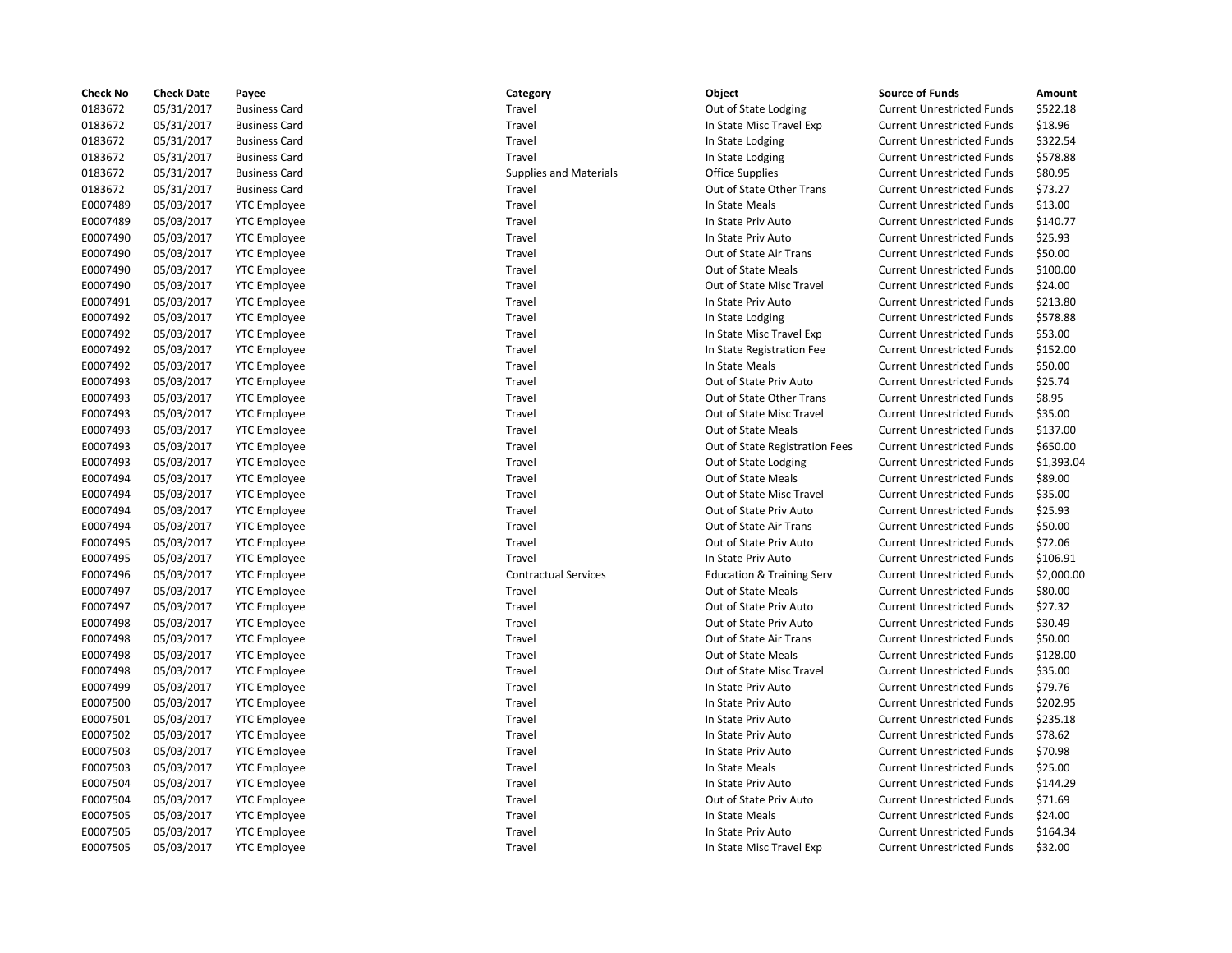| <b>Check No</b> | <b>Check Date</b> | Payee                | Category                      | <b>Object</b>                        | <b>Source of Funds</b>            | Amount    |
|-----------------|-------------------|----------------------|-------------------------------|--------------------------------------|-----------------------------------|-----------|
| 0183672         | 05/31/2017        | <b>Business Card</b> | Travel                        | Out of State Lodging                 | <b>Current Unrestricted Funds</b> | \$522.18  |
| 0183672         | 05/31/2017        | <b>Business Card</b> | Travel                        | In State Misc Travel Exp             | <b>Current Unrestricted Funds</b> | \$18.96   |
| 0183672         | 05/31/2017        | <b>Business Card</b> | Travel                        | In State Lodging                     | <b>Current Unrestricted Funds</b> | \$322.54  |
| 0183672         | 05/31/2017        | <b>Business Card</b> | Travel                        | In State Lodging                     | <b>Current Unrestricted Funds</b> | \$578.88  |
| 0183672         | 05/31/2017        | <b>Business Card</b> | <b>Supplies and Materials</b> | <b>Office Supplies</b>               | <b>Current Unrestricted Funds</b> | \$80.95   |
| 0183672         | 05/31/2017        | <b>Business Card</b> | Travel                        | Out of State Other Trans             | <b>Current Unrestricted Funds</b> | \$73.27   |
| E0007489        | 05/03/2017        | <b>YTC Employee</b>  | Travel                        | In State Meals                       | <b>Current Unrestricted Funds</b> | \$13.00   |
| E0007489        | 05/03/2017        | <b>YTC Employee</b>  | Travel                        | In State Priv Auto                   | <b>Current Unrestricted Funds</b> | \$140.77  |
| E0007490        | 05/03/2017        | <b>YTC</b> Employee  | Travel                        | In State Priv Auto                   | <b>Current Unrestricted Funds</b> | \$25.93   |
| E0007490        | 05/03/2017        | <b>YTC</b> Employee  | Travel                        | Out of State Air Trans               | <b>Current Unrestricted Funds</b> | \$50.00   |
| E0007490        | 05/03/2017        | <b>YTC Employee</b>  | Travel                        | Out of State Meals                   | <b>Current Unrestricted Funds</b> | \$100.00  |
| E0007490        | 05/03/2017        | <b>YTC Employee</b>  | Travel                        | Out of State Misc Travel             | <b>Current Unrestricted Funds</b> | \$24.00   |
| E0007491        | 05/03/2017        | <b>YTC Employee</b>  | Travel                        | In State Priv Auto                   | <b>Current Unrestricted Funds</b> | \$213.80  |
| E0007492        | 05/03/2017        | <b>YTC Employee</b>  | Travel                        | In State Lodging                     | <b>Current Unrestricted Funds</b> | \$578.88  |
| E0007492        | 05/03/2017        | <b>YTC Employee</b>  | Travel                        | In State Misc Travel Exp             | <b>Current Unrestricted Funds</b> | \$53.00   |
| E0007492        | 05/03/2017        | <b>YTC Employee</b>  | Travel                        | In State Registration Fee            | <b>Current Unrestricted Funds</b> | \$152.00  |
| E0007492        | 05/03/2017        | <b>YTC Employee</b>  | Travel                        | In State Meals                       | <b>Current Unrestricted Funds</b> | \$50.00   |
| E0007493        | 05/03/2017        | <b>YTC Employee</b>  | Travel                        | Out of State Priv Auto               | <b>Current Unrestricted Funds</b> | \$25.74   |
| E0007493        | 05/03/2017        | <b>YTC Employee</b>  | Travel                        | Out of State Other Trans             | <b>Current Unrestricted Funds</b> | \$8.95    |
| E0007493        | 05/03/2017        | <b>YTC</b> Employee  | Travel                        | Out of State Misc Travel             | <b>Current Unrestricted Funds</b> | \$35.00   |
| E0007493        | 05/03/2017        | <b>YTC Employee</b>  | Travel                        | Out of State Meals                   | <b>Current Unrestricted Funds</b> | \$137.00  |
| E0007493        | 05/03/2017        | <b>YTC</b> Employee  | Travel                        | Out of State Registration Fees       | <b>Current Unrestricted Funds</b> | \$650.00  |
| E0007493        | 05/03/2017        | <b>YTC Employee</b>  | Travel                        | Out of State Lodging                 | <b>Current Unrestricted Funds</b> | \$1,393.0 |
| E0007494        | 05/03/2017        | <b>YTC Employee</b>  | Travel                        | Out of State Meals                   | <b>Current Unrestricted Funds</b> | \$89.00   |
| E0007494        | 05/03/2017        | <b>YTC Employee</b>  | Travel                        | Out of State Misc Travel             | <b>Current Unrestricted Funds</b> | \$35.00   |
| E0007494        | 05/03/2017        | <b>YTC Employee</b>  | Travel                        | Out of State Priv Auto               | <b>Current Unrestricted Funds</b> | \$25.93   |
| E0007494        | 05/03/2017        | <b>YTC Employee</b>  | Travel                        | Out of State Air Trans               | <b>Current Unrestricted Funds</b> | \$50.00   |
| E0007495        | 05/03/2017        | <b>YTC Employee</b>  | Travel                        | Out of State Priv Auto               | <b>Current Unrestricted Funds</b> | \$72.06   |
| E0007495        | 05/03/2017        | <b>YTC Employee</b>  | Travel                        | In State Priv Auto                   | <b>Current Unrestricted Funds</b> | \$106.91  |
| E0007496        | 05/03/2017        | <b>YTC Employee</b>  | <b>Contractual Services</b>   | <b>Education &amp; Training Serv</b> | <b>Current Unrestricted Funds</b> | \$2,000.0 |
| E0007497        | 05/03/2017        | <b>YTC Employee</b>  | Travel                        | Out of State Meals                   | <b>Current Unrestricted Funds</b> | \$80.00   |
| E0007497        | 05/03/2017        | <b>YTC Employee</b>  | Travel                        | Out of State Priv Auto               | <b>Current Unrestricted Funds</b> | \$27.32   |
| E0007498        | 05/03/2017        | <b>YTC Employee</b>  | Travel                        | Out of State Priv Auto               | <b>Current Unrestricted Funds</b> | \$30.49   |
| E0007498        | 05/03/2017        | <b>YTC Employee</b>  | Travel                        | Out of State Air Trans               | <b>Current Unrestricted Funds</b> | \$50.00   |
| E0007498        | 05/03/2017        | <b>YTC Employee</b>  | Travel                        | Out of State Meals                   | <b>Current Unrestricted Funds</b> | \$128.00  |
| E0007498        | 05/03/2017        | <b>YTC Employee</b>  | Travel                        | Out of State Misc Travel             | <b>Current Unrestricted Funds</b> | \$35.00   |
| E0007499        | 05/03/2017        | <b>YTC Employee</b>  | Travel                        | In State Priv Auto                   | <b>Current Unrestricted Funds</b> | \$79.76   |
| E0007500        | 05/03/2017        | <b>YTC Employee</b>  | Travel                        | In State Priv Auto                   | <b>Current Unrestricted Funds</b> | \$202.95  |
| E0007501        | 05/03/2017        | <b>YTC Employee</b>  | Travel                        | In State Priv Auto                   | <b>Current Unrestricted Funds</b> | \$235.18  |
| E0007502        | 05/03/2017        | <b>YTC Employee</b>  | Travel                        | In State Priv Auto                   | <b>Current Unrestricted Funds</b> | \$78.62   |
| E0007503        | 05/03/2017        | <b>YTC Employee</b>  | Travel                        | In State Priv Auto                   | <b>Current Unrestricted Funds</b> | \$70.98   |
| E0007503        | 05/03/2017        | <b>YTC Employee</b>  | Travel                        | In State Meals                       | <b>Current Unrestricted Funds</b> | \$25.00   |
| E0007504        | 05/03/2017        | <b>YTC</b> Employee  | Travel                        | In State Priv Auto                   | <b>Current Unrestricted Funds</b> | \$144.29  |
| E0007504        | 05/03/2017        | <b>YTC Employee</b>  | Travel                        | Out of State Priv Auto               | <b>Current Unrestricted Funds</b> | \$71.69   |
| E0007505        | 05/03/2017        | <b>YTC</b> Employee  | Travel                        | In State Meals                       | <b>Current Unrestricted Funds</b> | \$24.00   |
| E0007505        | 05/03/2017        | <b>YTC Employee</b>  | Travel                        | In State Priv Auto                   | <b>Current Unrestricted Funds</b> | \$164.34  |
| <b>E0007505</b> | 05/03/2017        | YTC Employee         | Travel                        | In State Misc Travel Exp             | Current Unrestricted Funds        | \$32.00   |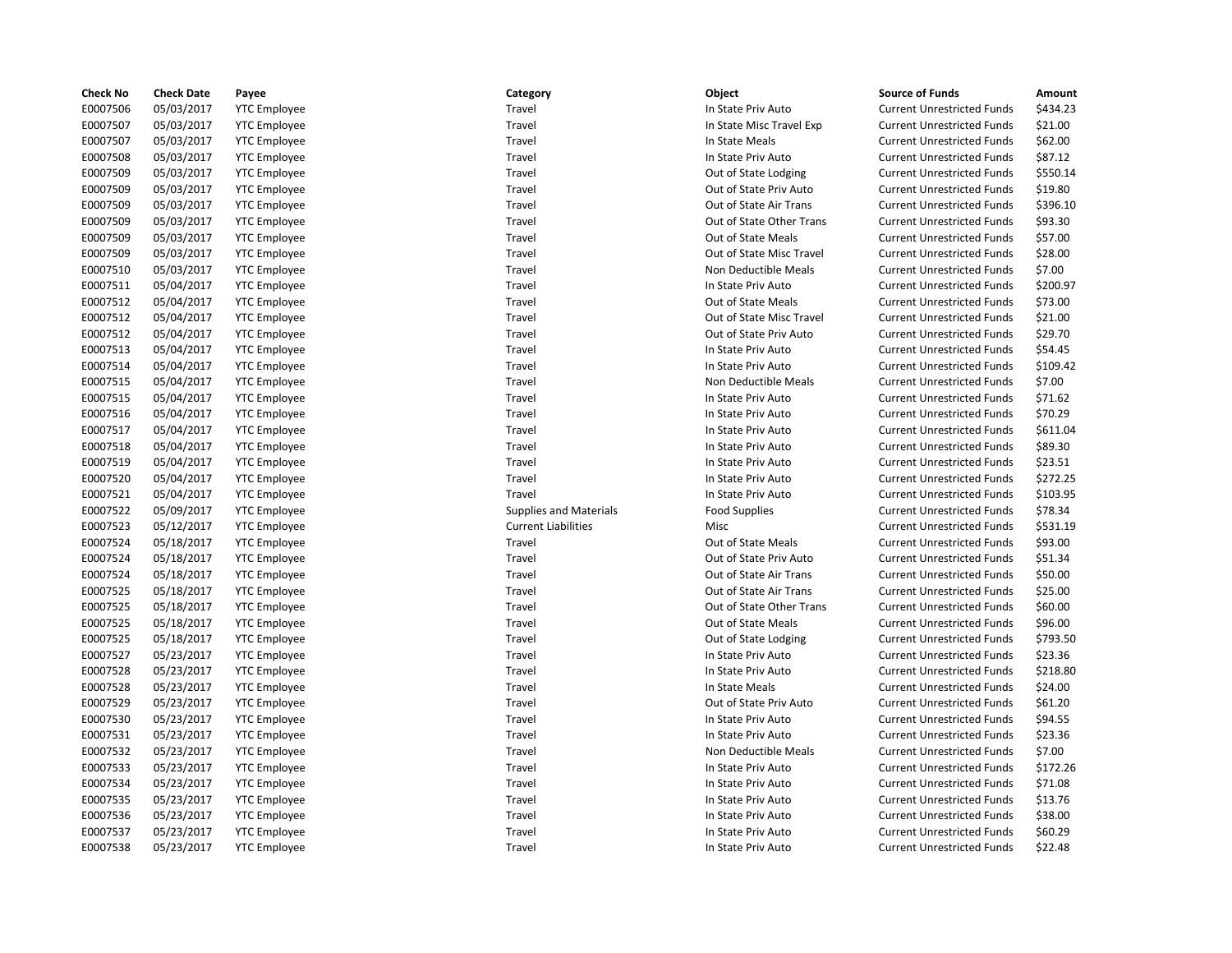| <b>Check No</b> | <b>Check Date</b> | Payee               | Category                      | Object                   | <b>Source of Funds</b>            | Amount   |
|-----------------|-------------------|---------------------|-------------------------------|--------------------------|-----------------------------------|----------|
| E0007506        | 05/03/2017        | <b>YTC Employee</b> | Travel                        | In State Priv Auto       | <b>Current Unrestricted Funds</b> | \$434.23 |
| E0007507        | 05/03/2017        | <b>YTC Employee</b> | Travel                        | In State Misc Travel Exp | <b>Current Unrestricted Funds</b> | \$21.00  |
| E0007507        | 05/03/2017        | <b>YTC Employee</b> | Travel                        | In State Meals           | <b>Current Unrestricted Funds</b> | \$62.00  |
| E0007508        | 05/03/2017        | <b>YTC Employee</b> | Travel                        | In State Priv Auto       | <b>Current Unrestricted Funds</b> | \$87.12  |
| E0007509        | 05/03/2017        | <b>YTC</b> Employee | Travel                        | Out of State Lodging     | <b>Current Unrestricted Funds</b> | \$550.14 |
| E0007509        | 05/03/2017        | <b>YTC Employee</b> | Travel                        | Out of State Priv Auto   | <b>Current Unrestricted Funds</b> | \$19.80  |
| E0007509        | 05/03/2017        | <b>YTC Employee</b> | Travel                        | Out of State Air Trans   | <b>Current Unrestricted Funds</b> | \$396.10 |
| E0007509        | 05/03/2017        | <b>YTC Employee</b> | Travel                        | Out of State Other Trans | <b>Current Unrestricted Funds</b> | \$93.30  |
| E0007509        | 05/03/2017        | <b>YTC Employee</b> | Travel                        | Out of State Meals       | <b>Current Unrestricted Funds</b> | \$57.00  |
| E0007509        | 05/03/2017        | <b>YTC Employee</b> | Travel                        | Out of State Misc Travel | <b>Current Unrestricted Funds</b> | \$28.00  |
| E0007510        | 05/03/2017        | <b>YTC Employee</b> | Travel                        | Non Deductible Meals     | <b>Current Unrestricted Funds</b> | \$7.00   |
| E0007511        | 05/04/2017        | <b>YTC</b> Employee | Travel                        | In State Priv Auto       | <b>Current Unrestricted Funds</b> | \$200.97 |
| E0007512        | 05/04/2017        | <b>YTC Employee</b> | Travel                        | Out of State Meals       | <b>Current Unrestricted Funds</b> | \$73.00  |
| E0007512        | 05/04/2017        | <b>YTC</b> Employee | Travel                        | Out of State Misc Travel | <b>Current Unrestricted Funds</b> | \$21.00  |
| E0007512        | 05/04/2017        | <b>YTC Employee</b> | Travel                        | Out of State Priv Auto   | <b>Current Unrestricted Funds</b> | \$29.70  |
| E0007513        | 05/04/2017        | <b>YTC Employee</b> | Travel                        | In State Priv Auto       | <b>Current Unrestricted Funds</b> | \$54.45  |
| E0007514        | 05/04/2017        | <b>YTC Employee</b> | Travel                        | In State Priv Auto       | <b>Current Unrestricted Funds</b> | \$109.42 |
| E0007515        | 05/04/2017        | <b>YTC Employee</b> | Travel                        | Non Deductible Meals     | <b>Current Unrestricted Funds</b> | \$7.00   |
| E0007515        | 05/04/2017        | <b>YTC</b> Employee | Travel                        | In State Priv Auto       | <b>Current Unrestricted Funds</b> | \$71.62  |
| E0007516        | 05/04/2017        | <b>YTC</b> Employee | Travel                        | In State Priv Auto       | <b>Current Unrestricted Funds</b> | \$70.29  |
| E0007517        | 05/04/2017        | <b>YTC Employee</b> | Travel                        | In State Priv Auto       | <b>Current Unrestricted Funds</b> | \$611.04 |
| E0007518        | 05/04/2017        | <b>YTC Employee</b> | Travel                        | In State Priv Auto       | <b>Current Unrestricted Funds</b> | \$89.30  |
| E0007519        | 05/04/2017        | <b>YTC Employee</b> | Travel                        | In State Priv Auto       | <b>Current Unrestricted Funds</b> | \$23.51  |
| E0007520        | 05/04/2017        | <b>YTC Employee</b> | Travel                        | In State Priv Auto       | <b>Current Unrestricted Funds</b> | \$272.25 |
| E0007521        | 05/04/2017        | <b>YTC Employee</b> | Travel                        | In State Priv Auto       | <b>Current Unrestricted Funds</b> | \$103.95 |
| E0007522        | 05/09/2017        | <b>YTC Employee</b> | <b>Supplies and Materials</b> | <b>Food Supplies</b>     | <b>Current Unrestricted Funds</b> | \$78.34  |
| E0007523        | 05/12/2017        | <b>YTC</b> Employee | <b>Current Liabilities</b>    | Misc                     | <b>Current Unrestricted Funds</b> | \$531.19 |
| E0007524        | 05/18/2017        | <b>YTC Employee</b> | Travel                        | Out of State Meals       | <b>Current Unrestricted Funds</b> | \$93.00  |
| E0007524        | 05/18/2017        | <b>YTC Employee</b> | Travel                        | Out of State Priv Auto   | <b>Current Unrestricted Funds</b> | \$51.34  |
| E0007524        | 05/18/2017        | <b>YTC Employee</b> | Travel                        | Out of State Air Trans   | <b>Current Unrestricted Funds</b> | \$50.00  |
| E0007525        | 05/18/2017        | <b>YTC Employee</b> | Travel                        | Out of State Air Trans   | <b>Current Unrestricted Funds</b> | \$25.00  |
| E0007525        | 05/18/2017        | <b>YTC</b> Employee | Travel                        | Out of State Other Trans | <b>Current Unrestricted Funds</b> | \$60.00  |
| E0007525        | 05/18/2017        | <b>YTC Employee</b> | Travel                        | Out of State Meals       | <b>Current Unrestricted Funds</b> | \$96.00  |
| E0007525        | 05/18/2017        | <b>YTC Employee</b> | Travel                        | Out of State Lodging     | <b>Current Unrestricted Funds</b> | \$793.50 |
| E0007527        | 05/23/2017        | <b>YTC Employee</b> | Travel                        | In State Priv Auto       | <b>Current Unrestricted Funds</b> | \$23.36  |
| E0007528        | 05/23/2017        | <b>YTC Employee</b> | Travel                        | In State Priv Auto       | <b>Current Unrestricted Funds</b> | \$218.80 |
| E0007528        | 05/23/2017        | <b>YTC Employee</b> | Travel                        | In State Meals           | <b>Current Unrestricted Funds</b> | \$24.00  |
| E0007529        | 05/23/2017        | <b>YTC Employee</b> | Travel                        | Out of State Priv Auto   | <b>Current Unrestricted Funds</b> | \$61.20  |
| E0007530        | 05/23/2017        | <b>YTC</b> Employee | Travel                        | In State Priv Auto       | <b>Current Unrestricted Funds</b> | \$94.55  |
| E0007531        | 05/23/2017        | <b>YTC Employee</b> | Travel                        | In State Priv Auto       | <b>Current Unrestricted Funds</b> | \$23.36  |
| E0007532        | 05/23/2017        | <b>YTC Employee</b> | Travel                        | Non Deductible Meals     | <b>Current Unrestricted Funds</b> | \$7.00   |
| E0007533        | 05/23/2017        | <b>YTC Employee</b> | Travel                        | In State Priv Auto       | <b>Current Unrestricted Funds</b> | \$172.26 |
| E0007534        | 05/23/2017        | <b>YTC Employee</b> | Travel                        | In State Priv Auto       | <b>Current Unrestricted Funds</b> | \$71.08  |
| E0007535        | 05/23/2017        | <b>YTC Employee</b> | Travel                        | In State Priv Auto       | <b>Current Unrestricted Funds</b> | \$13.76  |
| E0007536        | 05/23/2017        | <b>YTC</b> Employee | Travel                        | In State Priv Auto       | <b>Current Unrestricted Funds</b> | \$38.00  |
| E0007537        | 05/23/2017        | <b>YTC Employee</b> | Travel                        | In State Priv Auto       | <b>Current Unrestricted Funds</b> | \$60.29  |
| E0007538        | 05/23/2017        | <b>YTC</b> Employee | Travel                        | In State Priv Auto       | <b>Current Unrestricted Funds</b> | \$22.48  |

## Travel **EXECUTE:** In State Priv Auto Current Unrestricted Funds \$434.23 Travel **EDEO** 1007 105 In State Misc Travel Exp Current Unrestricted Funds \$21.00 Travel **EXECUTE:** Travel In State Meals Current Unrestricted Funds \$62.00 Enavel Travel Travel In State Priv Auto Current Unrestricted Funds \$87.12 Travel **EXECUTE:** Out of State Lodging Current Unrestricted Funds \$550.14 Travel **EXECO 600 Travel Current Unrestricted Funds** 519.80 Travel **EXECO 6** 000 Out of State Air Trans Current Unrestricted Funds \$396.10 Travel **EXECOFF** Out of State Other Trans Current Unrestricted Funds \$93.30 Travel **EXECUTE:** Out of State Meals Current Unrestricted Funds \$57.00 Travel **EXECONTE:** Out of State Misc Travel Current Unrestricted Funds \$28.00 Travel **EXECUTE:** Non Deductible Meals Current Unrestricted Funds \$7.00 E0007511 05/04/2017 YTC Employee Travel In State Priv Auto Current Unrestricted Funds \$200.97 Travel **EXECUTE:** Current Unrestricted Funds \$73.00 Travel **EXECONTE:** Out of State Misc Travel Current Unrestricted Funds \$21.00 Travel **EXECONTE:** Out of State Priv Auto Current Unrestricted Funds \$29.70 E0007513 05/04/2017 YTC Employee Travel In State Priv Auto Current Unrestricted Funds \$54.45 E0007514 05/04/2017 YTC Employee Travel In State Priv Auto Current Unrestricted Funds \$109.42 Travel **EXECUTE:** Non Deductible Meals Current Unrestricted Funds \$7.00 E000751507 Travel Travel In State Priv Auto Current Unrestricted Funds \$71.62 E0007516 05/04/2017 YTC Employee Travel In State Priv Auto Current Unrestricted Funds \$70.29 Travel **End and State Priv Auto** In State Priv Auto Current Unrestricted Funds \$611.04 E0007518 05/04/2017 YTC Employee Travel In State Priv Auto Current Unrestricted Funds \$89.30 Travel **EXECUTE:** In State Priv Auto **Current Unrestricted Funds** \$23.51 E0007520 05/04/2017 YTC Employee Travel In State Priv Auto Current Unrestricted Funds \$272.25 Endel Travel Travel 10007521 105/04/2017 In State Priv Auto Current Unrestricted Funds \$103.95 E0007522 05/09/2017 YTC Employee Supplies and Materials Food Supplies Current Unrestricted Funds \$78.34 Current Liabilities **Entity Current Liabilities** Misc Current Unrestricted Funds \$531.19 Travel **EXECUTE:** Travel Current Unrestricted Funds 593.00 Travel **EXECUTE:** Travel Current Unrestricted Funds 551.34 Travel **EXECUTE:** Out of State Air Trans Current Unrestricted Funds \$50.00 Travel **EXECONTE:** Out of State Air Trans Current Unrestricted Funds \$25.00 Travel **EXECTS** Out of State Other Trans Current Unrestricted Funds \$60.00 Travel **EXECUTE:** Current Unrestricted Funds \$96.00 Travel **EXECONTE:** Out of State Lodging Current Unrestricted Funds \$793.50 E0007 17 Travel Current Unrestricted Funds 523.36 E0007528 05/23/2017 YTC Employee Travel In State Priv Auto Current Unrestricted Funds \$218.80 Travel **EXECUTE:** In State Meals Current Unrestricted Funds \$24.00 Travel **EXECO 2008 ORTS OUT OF STATE PRIV Auto** Current Unrestricted Funds \$61.20 Travel **EXOCO7530 CONTENTS IN State Priv Auto** Current Unrestricted Funds \$94.55 E0007531 17 Travel Current Unrestricted Funds in State Priv Auto Current Unrestricted Funds in S23.36 Travel **EXECUTE:** Non Deductible Meals Current Unrestricted Funds \$7.00 Travel **End and State Priv Auto** Current Unrestricted Funds \$172.26 E0007534 05/23/2017 YTC Employee Travel In State Priv Auto Current Unrestricted Funds \$71.08 E00075 17 Travel Current Unrestricted Funds 513.76 Travel **EXECO 85 In State Priv Auto** Current Unrestricted Funds \$38.00 E0007537 05/23/2017 YTC Employee Travel In State Priv Auto Current Unrestricted Funds \$60.29